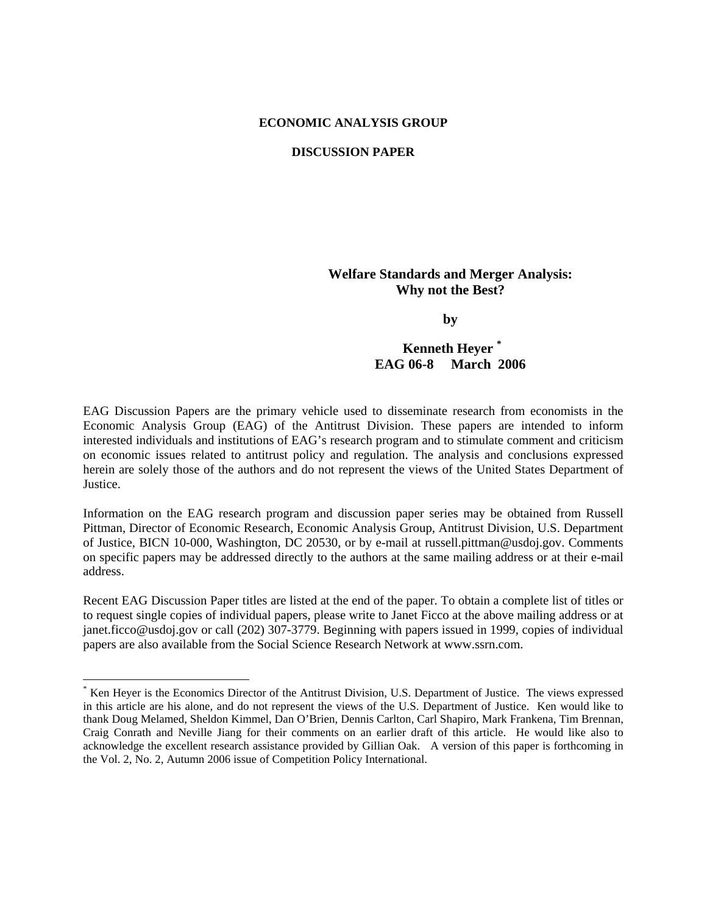# **ECONOMIC ANALYSIS GROUP**

## **DISCUSSION PAPER**

# **Welfare Standards and Merger Analysis: Why not the Best?**

**by** 

# **Kenneth Heyer \* EAG 06-8 March 2006**

EAG Discussion Papers are the primary vehicle used to disseminate research from economists in the Economic Analysis Group (EAG) of the Antitrust Division. These papers are intended to inform interested individuals and institutions of EAG's research program and to stimulate comment and criticism on economic issues related to antitrust policy and regulation. The analysis and conclusions expressed herein are solely those of the authors and do not represent the views of the United States Department of Justice.

Information on the EAG research program and discussion paper series may be obtained from Russell Pittman, Director of Economic Research, Economic Analysis Group, Antitrust Division, U.S. Department of Justice, BICN 10-000, Washington, DC 20530, or by e-mail at russell.pittman@usdoj.gov. Comments on specific papers may be addressed directly to the authors at the same mailing address or at their e-mail address.

Recent EAG Discussion Paper titles are listed at the end of the paper. To obtain a complete list of titles or to request single copies of individual papers, please write to Janet Ficco at the above mailing address or at janet.ficco@usdoj.gov or call (202) 307-3779. Beginning with papers issued in 1999, copies of individual papers are also available from the Social Science Research Network at www.ssrn.com.

<sup>\*</sup> Ken Heyer is the Economics Director of the Antitrust Division, U.S. Department of Justice. The views expressed in this article are his alone, and do not represent the views of the U.S. Department of Justice. Ken would like to thank Doug Melamed, Sheldon Kimmel, Dan O'Brien, Dennis Carlton, Carl Shapiro, Mark Frankena, Tim Brennan, Craig Conrath and Neville Jiang for their comments on an earlier draft of this article. He would like also to acknowledge the excellent research assistance provided by Gillian Oak. A version of this paper is forthcoming in the Vol. 2, No. 2, Autumn 2006 issue of Competition Policy International.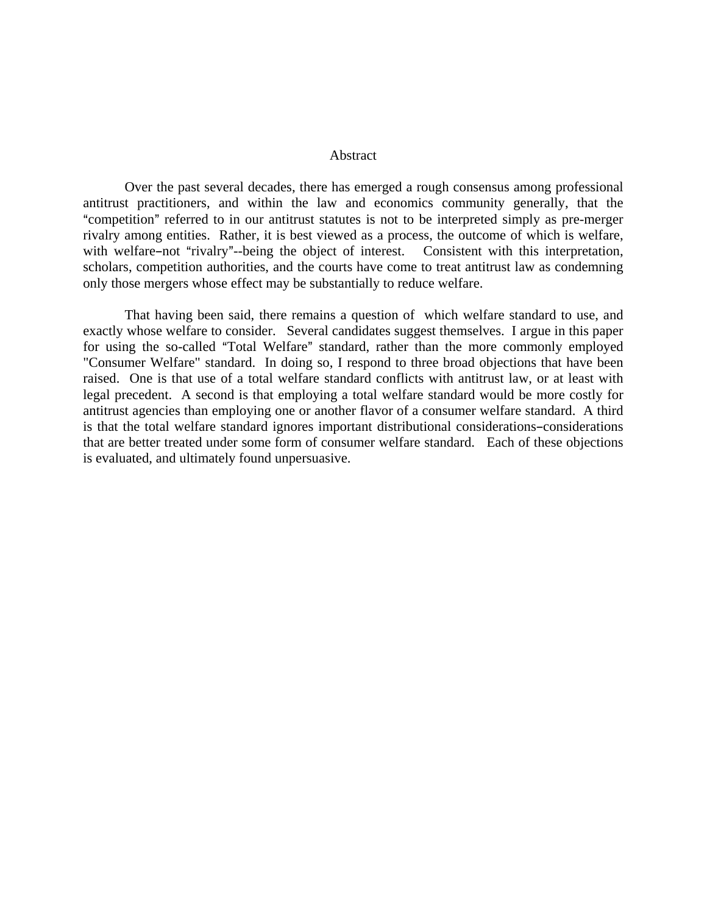#### Abstract

Over the past several decades, there has emerged a rough consensus among professional antitrust practitioners, and within the law and economics community generally, that the "competition" referred to in our antitrust statutes is not to be interpreted simply as pre-merger rivalry among entities. Rather, it is best viewed as a process, the outcome of which is welfare, with welfare-not "rivalry"-being the object of interest. Consistent with this interpretation, scholars, competition authorities, and the courts have come to treat antitrust law as condemning only those mergers whose effect may be substantially to reduce welfare.

 That having been said, there remains a question of which welfare standard to use, and exactly whose welfare to consider. Several candidates suggest themselves. I argue in this paper for using the so-called "Total Welfare" standard, rather than the more commonly employed "Consumer Welfare" standard. In doing so, I respond to three broad objections that have been raised. One is that use of a total welfare standard conflicts with antitrust law, or at least with legal precedent. A second is that employing a total welfare standard would be more costly for antitrust agencies than employing one or another flavor of a consumer welfare standard. A third is that the total welfare standard ignores important distributional considerations-considerations that are better treated under some form of consumer welfare standard. Each of these objections is evaluated, and ultimately found unpersuasive.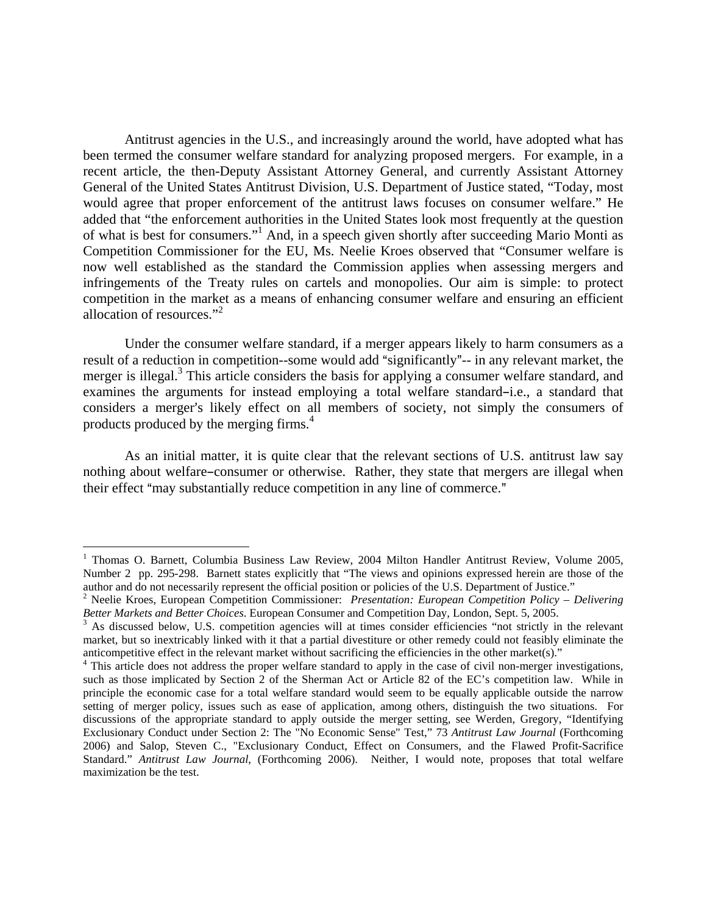Antitrust agencies in the U.S., and increasingly around the world, have adopted what has been termed the consumer welfare standard for analyzing proposed mergers. For example, in a recent article, the then-Deputy Assistant Attorney General, and currently Assistant Attorney General of the United States Antitrust Division, U.S. Department of Justice stated, "Today, most would agree that proper enforcement of the antitrust laws focuses on consumer welfare." He added that "the enforcement authorities in the United States look most frequently at the question of what is best for consumers."<sup>1</sup> And, in a speech given shortly after succeeding Mario Monti as Competition Commissioner for the EU, Ms. Neelie Kroes observed that "Consumer welfare is now well established as the standard the Commission applies when assessing mergers and infringements of the Treaty rules on cartels and monopolies. Our aim is simple: to protect competition in the market as a means of enhancing consumer welfare and ensuring an efficient allocation of resources."<sup>2</sup>

 Under the consumer welfare standard, if a merger appears likely to harm consumers as a result of a reduction in competition--some would add "significantly"-- in any relevant market, the merger is illegal.<sup>3</sup> This article considers the basis for applying a consumer welfare standard, and examines the arguments for instead employing a total welfare standard-i.e., a standard that considers a merger's likely effect on all members of society, not simply the consumers of products produced by the merging firms.<sup>4</sup>

 As an initial matter, it is quite clear that the relevant sections of U.S. antitrust law say nothing about welfare–consumer or otherwise. Rather, they state that mergers are illegal when their effect "may substantially reduce competition in any line of commerce."

<sup>&</sup>lt;sup>1</sup> Thomas O. Barnett, Columbia Business Law Review, 2004 Milton Handler Antitrust Review, Volume 2005, Number 2 pp. 295-298. Barnett states explicitly that "The views and opinions expressed herein are those of the author and do not necessarily represent the official position or policies of the U.S. Department of Justice."

<sup>2</sup> Neelie Kroes, European Competition Commissioner: *Presentation: European Competition Policy – Delivering*  Better Markets and Better Choices. European Consumer and Competition Day, London, Sept. 5, 2005.

<sup>&</sup>lt;sup>3</sup> As discussed below, U.S. competition agencies will at times consider efficiencies "not strictly in the relevant market, but so inextricably linked with it that a partial divestiture or other remedy could not feasibly eliminate the anticompetitive effect in the relevant market without sacrificing the efficiencies in the other market(s)." 4

<sup>&</sup>lt;sup>4</sup> This article does not address the proper welfare standard to apply in the case of civil non-merger investigations, such as those implicated by Section 2 of the Sherman Act or Article 82 of the EC's competition law. While in principle the economic case for a total welfare standard would seem to be equally applicable outside the narrow setting of merger policy, issues such as ease of application, among others, distinguish the two situations. For discussions of the appropriate standard to apply outside the merger setting, see Werden, Gregory, "Identifying Exclusionary Conduct under Section 2: The "No Economic Sense" Test," 73 *Antitrust Law Journal* (Forthcoming 2006) and Salop, Steven C., "Exclusionary Conduct, Effect on Consumers, and the Flawed Profit-Sacrifice Standard." *Antitrust Law Journal*, (Forthcoming 2006). Neither, I would note, proposes that total welfare maximization be the test.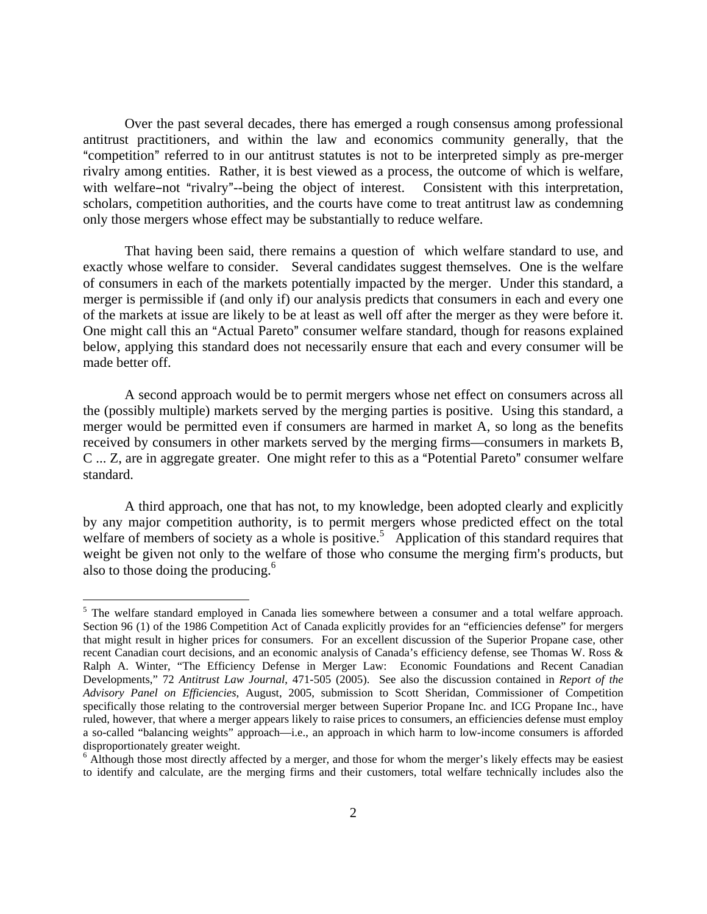Over the past several decades, there has emerged a rough consensus among professional antitrust practitioners, and within the law and economics community generally, that the "competition" referred to in our antitrust statutes is not to be interpreted simply as pre-merger rivalry among entities. Rather, it is best viewed as a process, the outcome of which is welfare, with welfare–not "rivalry"--being the object of interest. Consistent with this interpretation, scholars, competition authorities, and the courts have come to treat antitrust law as condemning only those mergers whose effect may be substantially to reduce welfare.

 That having been said, there remains a question of which welfare standard to use, and exactly whose welfare to consider. Several candidates suggest themselves. One is the welfare of consumers in each of the markets potentially impacted by the merger. Under this standard, a merger is permissible if (and only if) our analysis predicts that consumers in each and every one of the markets at issue are likely to be at least as well off after the merger as they were before it. One might call this an "Actual Pareto" consumer welfare standard, though for reasons explained below, applying this standard does not necessarily ensure that each and every consumer will be made better off.

 A second approach would be to permit mergers whose net effect on consumers across all the (possibly multiple) markets served by the merging parties is positive. Using this standard, a merger would be permitted even if consumers are harmed in market A, so long as the benefits received by consumers in other markets served by the merging firms—consumers in markets B, C ... Z, are in aggregate greater. One might refer to this as a "Potential Pareto" consumer welfare standard.

 A third approach, one that has not, to my knowledge, been adopted clearly and explicitly by any major competition authority, is to permit mergers whose predicted effect on the total welfare of members of society as a whole is positive.<sup>5</sup> Application of this standard requires that weight be given not only to the welfare of those who consume the merging firm's products, but also to those doing the producing.<sup>6</sup>

<sup>&</sup>lt;sup>5</sup> The welfare standard employed in Canada lies somewhere between a consumer and a total welfare approach. Section 96 (1) of the 1986 Competition Act of Canada explicitly provides for an "efficiencies defense" for mergers that might result in higher prices for consumers. For an excellent discussion of the Superior Propane case, other recent Canadian court decisions, and an economic analysis of Canada's efficiency defense, see Thomas W. Ross & Ralph A. Winter, "The Efficiency Defense in Merger Law: Economic Foundations and Recent Canadian Developments," 72 *Antitrust Law Journal*, 471-505 (2005). See also the discussion contained in *Report of the Advisory Panel on Efficiencies*, August, 2005, submission to Scott Sheridan, Commissioner of Competition specifically those relating to the controversial merger between Superior Propane Inc. and ICG Propane Inc., have ruled, however, that where a merger appears likely to raise prices to consumers, an efficiencies defense must employ a so-called "balancing weights" approach—i.e., an approach in which harm to low-income consumers is afforded disproportionately greater weight.

<sup>&</sup>lt;sup>6</sup> Although those most directly affected by a merger, and those for whom the merger's likely effects may be easiest to identify and calculate, are the merging firms and their customers, total welfare technically includes also the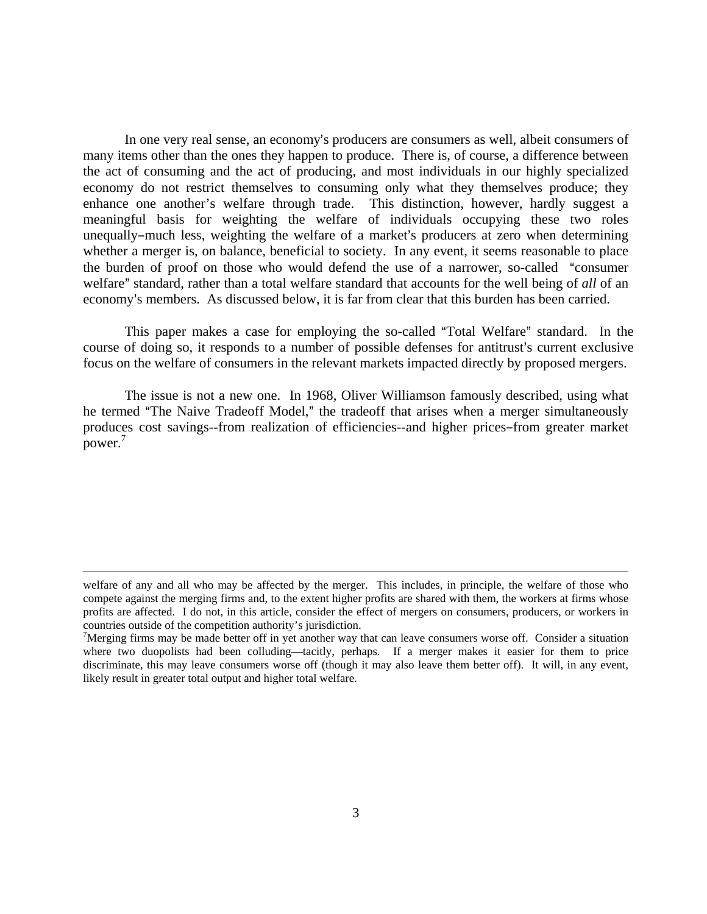In one very real sense, an economy's producers are consumers as well, albeit consumers of many items other than the ones they happen to produce. There is, of course, a difference between the act of consuming and the act of producing, and most individuals in our highly specialized economy do not restrict themselves to consuming only what they themselves produce; they enhance one another's welfare through trade. This distinction, however, hardly suggest a meaningful basis for weighting the welfare of individuals occupying these two roles unequally–much less, weighting the welfare of a market's producers at zero when determining whether a merger is, on balance, beneficial to society. In any event, it seems reasonable to place the burden of proof on those who would defend the use of a narrower, so-called "consumer welfare" standard, rather than a total welfare standard that accounts for the well being of *all* of an economy's members. As discussed below, it is far from clear that this burden has been carried.

This paper makes a case for employing the so-called "Total Welfare" standard. In the course of doing so, it responds to a number of possible defenses for antitrust's current exclusive focus on the welfare of consumers in the relevant markets impacted directly by proposed mergers.

 The issue is not a new one. In 1968, Oliver Williamson famously described, using what he termed "The Naive Tradeoff Model," the tradeoff that arises when a merger simultaneously produces cost savings--from realization of efficiencies--and higher prices-from greater market power.<sup>7</sup>

welfare of any and all who may be affected by the merger. This includes, in principle, the welfare of those who compete against the merging firms and, to the extent higher profits are shared with them, the workers at firms whose profits are affected. I do not, in this article, consider the effect of mergers on consumers, producers, or workers in countries outside of the competition authority's jurisdiction.

 $\frac{7}{1}$ Merging firms may be made better off in yet another way that can leave consumers worse off. Consider a situation where two duopolists had been colluding—tacitly, perhaps. If a merger makes it easier for them to price discriminate, this may leave consumers worse off (though it may also leave them better off). It will, in any event, likely result in greater total output and higher total welfare.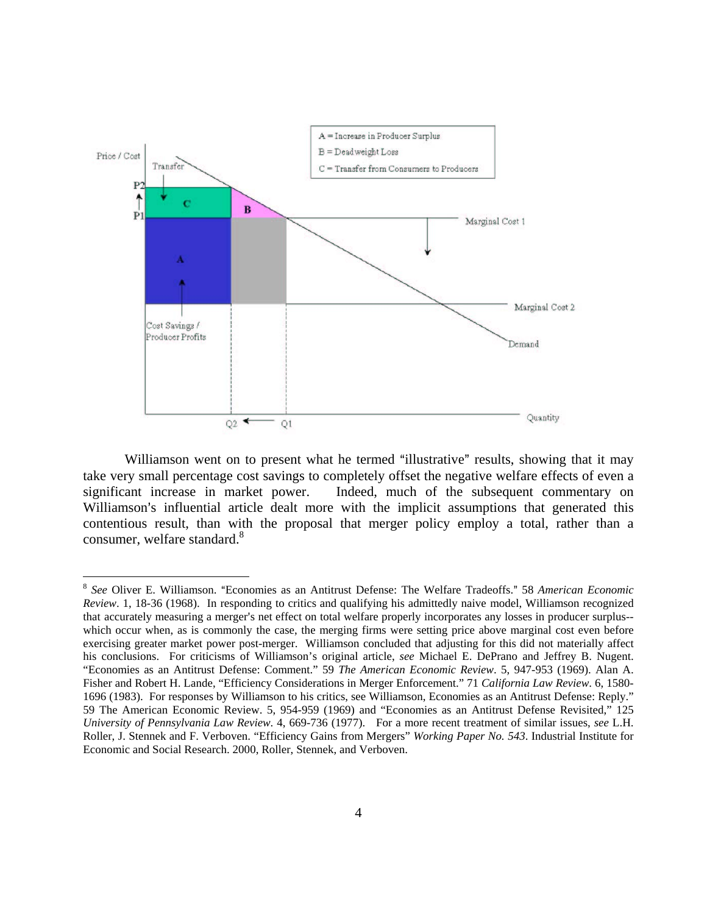

Williamson went on to present what he termed "illustrative" results, showing that it may take very small percentage cost savings to completely offset the negative welfare effects of even a significant increase in market power. Indeed, much of the subsequent commentary on Williamson's influential article dealt more with the implicit assumptions that generated this contentious result, than with the proposal that merger policy employ a total, rather than a consumer, welfare standard.<sup>8</sup>

<sup>&</sup>lt;sup>8</sup> See Oliver E. Williamson. "Economies as an Antitrust Defense: The Welfare Tradeoffs." 58 American Economic *Review*. 1, 18-36 (1968). In responding to critics and qualifying his admittedly naive model, Williamson recognized that accurately measuring a merger's net effect on total welfare properly incorporates any losses in producer surplus-which occur when, as is commonly the case, the merging firms were setting price above marginal cost even before exercising greater market power post-merger. Williamson concluded that adjusting for this did not materially affect his conclusions. For criticisms of Williamson's original article, *see* Michael E. DePrano and Jeffrey B. Nugent. "Economies as an Antitrust Defense: Comment." 59 *The American Economic Review*. 5, 947-953 (1969). Alan A. Fisher and Robert H. Lande, "Efficiency Considerations in Merger Enforcement." 71 *California Law Review*. 6, 1580- 1696 (1983). For responses by Williamson to his critics, see Williamson, Economies as an Antitrust Defense: Reply." 59 The American Economic Review. 5, 954-959 (1969) and "Economies as an Antitrust Defense Revisited," 125 *University of Pennsylvania Law Review*. 4, 669-736 (1977). For a more recent treatment of similar issues, *see* L.H. Roller, J. Stennek and F. Verboven. "Efficiency Gains from Mergers" *Working Paper No. 543*. Industrial Institute for Economic and Social Research. 2000, Roller, Stennek, and Verboven.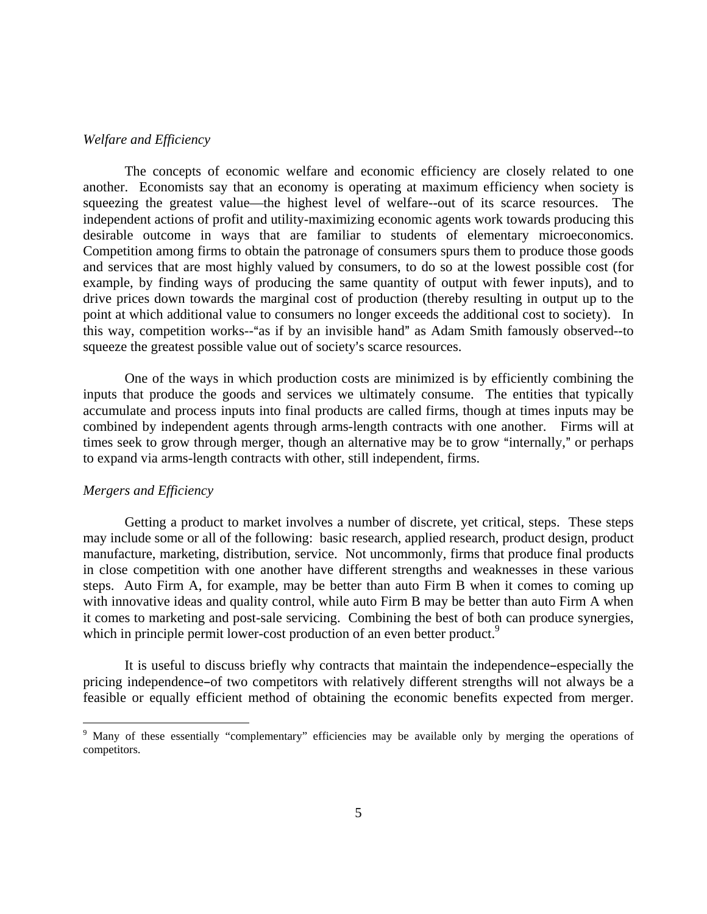# *Welfare and Efficiency*

 The concepts of economic welfare and economic efficiency are closely related to one another. Economists say that an economy is operating at maximum efficiency when society is squeezing the greatest value—the highest level of welfare--out of its scarce resources. The independent actions of profit and utility-maximizing economic agents work towards producing this desirable outcome in ways that are familiar to students of elementary microeconomics. Competition among firms to obtain the patronage of consumers spurs them to produce those goods and services that are most highly valued by consumers, to do so at the lowest possible cost (for example, by finding ways of producing the same quantity of output with fewer inputs), and to drive prices down towards the marginal cost of production (thereby resulting in output up to the point at which additional value to consumers no longer exceeds the additional cost to society). In this way, competition works--"as if by an invisible hand" as Adam Smith famously observed--to squeeze the greatest possible value out of society's scarce resources.

 One of the ways in which production costs are minimized is by efficiently combining the inputs that produce the goods and services we ultimately consume. The entities that typically accumulate and process inputs into final products are called firms, though at times inputs may be combined by independent agents through arms-length contracts with one another. Firms will at times seek to grow through merger, though an alternative may be to grow "internally," or perhaps to expand via arms-length contracts with other, still independent, firms.

# *Mergers and Efficiency*

 $\overline{a}$ 

 Getting a product to market involves a number of discrete, yet critical, steps. These steps may include some or all of the following: basic research, applied research, product design, product manufacture, marketing, distribution, service. Not uncommonly, firms that produce final products in close competition with one another have different strengths and weaknesses in these various steps. Auto Firm A, for example, may be better than auto Firm B when it comes to coming up with innovative ideas and quality control, while auto Firm B may be better than auto Firm A when it comes to marketing and post-sale servicing. Combining the best of both can produce synergies, which in principle permit lower-cost production of an even better product.<sup>9</sup>

It is useful to discuss briefly why contracts that maintain the independence-especially the pricing independence-of two competitors with relatively different strengths will not always be a feasible or equally efficient method of obtaining the economic benefits expected from merger.

<sup>&</sup>lt;sup>9</sup> Many of these essentially "complementary" efficiencies may be available only by merging the operations of competitors.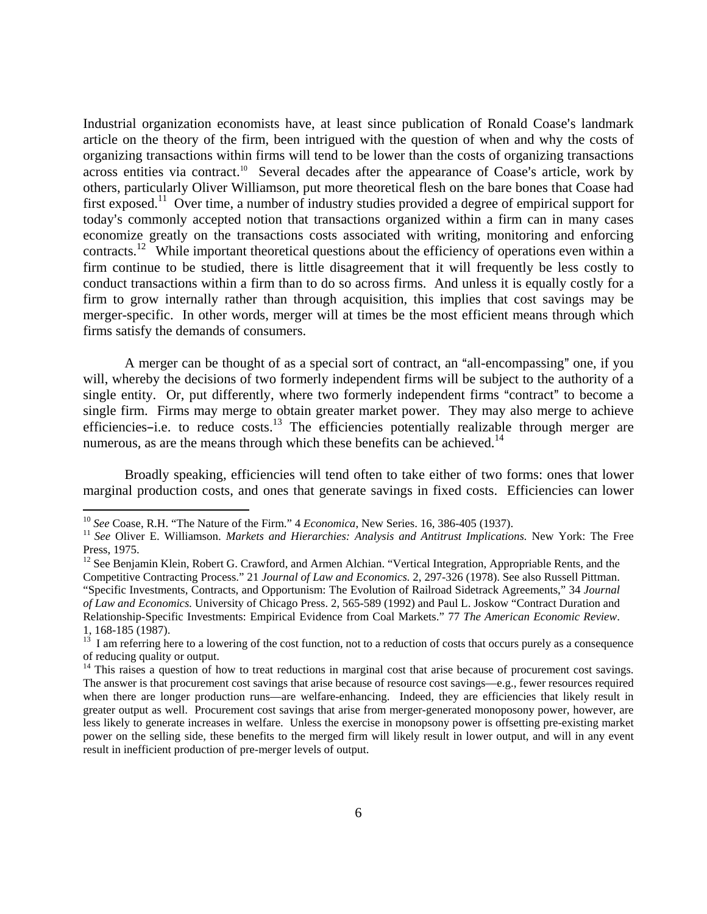Industrial organization economists have, at least since publication of Ronald Coase's landmark article on the theory of the firm, been intrigued with the question of when and why the costs of organizing transactions within firms will tend to be lower than the costs of organizing transactions across entities via contract.<sup>10</sup> Several decades after the appearance of Coase's article, work by others, particularly Oliver Williamson, put more theoretical flesh on the bare bones that Coase had first exposed.<sup>11</sup> Over time, a number of industry studies provided a degree of empirical support for today's commonly accepted notion that transactions organized within a firm can in many cases economize greatly on the transactions costs associated with writing, monitoring and enforcing contracts.<sup>12</sup> While important theoretical questions about the efficiency of operations even within a firm continue to be studied, there is little disagreement that it will frequently be less costly to conduct transactions within a firm than to do so across firms. And unless it is equally costly for a firm to grow internally rather than through acquisition, this implies that cost savings may be merger-specific. In other words, merger will at times be the most efficient means through which firms satisfy the demands of consumers.

A merger can be thought of as a special sort of contract, an "all-encompassing" one, if you will, whereby the decisions of two formerly independent firms will be subject to the authority of a single entity. Or, put differently, where two formerly independent firms "contract" to become a single firm. Firms may merge to obtain greater market power. They may also merge to achieve efficiencies-i.e. to reduce  $\csc^{13}$  The efficiencies potentially realizable through merger are numerous, as are the means through which these benefits can be achieved.<sup>14</sup>

 Broadly speaking, efficiencies will tend often to take either of two forms: ones that lower marginal production costs, and ones that generate savings in fixed costs. Efficiencies can lower

<sup>&</sup>lt;sup>10</sup> See Coase, R.H. "The Nature of the Firm." 4 *Economica*, New Series. 16, 386-405 (1937).<br><sup>11</sup> See Oliver E. Williamson. *Markets and Hierarchies: Analysis and Antitrust Implications*. New York: The Free Press, 1975.

<sup>&</sup>lt;sup>12</sup> See Benjamin Klein, Robert G. Crawford, and Armen Alchian. "Vertical Integration, Appropriable Rents, and the Competitive Contracting Process." 21 *Journal of Law and Economics*. 2, 297-326 (1978). See also Russell Pittman. "Specific Investments, Contracts, and Opportunism: The Evolution of Railroad Sidetrack Agreements," 34 *Journal of Law and Economics.* University of Chicago Press. 2, 565-589 (1992) and Paul L. Joskow "Contract Duration and Relationship-Specific Investments: Empirical Evidence from Coal Markets." 77 *The American Economic Review*. 1, 168-185 (1987).

 $13$  I am referring here to a lowering of the cost function, not to a reduction of costs that occurs purely as a consequence of reducing quality or output.

<sup>&</sup>lt;sup>14</sup> This raises a question of how to treat reductions in marginal cost that arise because of procurement cost savings. The answer is that procurement cost savings that arise because of resource cost savings—e.g., fewer resources required when there are longer production runs—are welfare-enhancing. Indeed, they are efficiencies that likely result in greater output as well. Procurement cost savings that arise from merger-generated monoposony power, however, are less likely to generate increases in welfare. Unless the exercise in monopsony power is offsetting pre-existing market power on the selling side, these benefits to the merged firm will likely result in lower output, and will in any event result in inefficient production of pre-merger levels of output.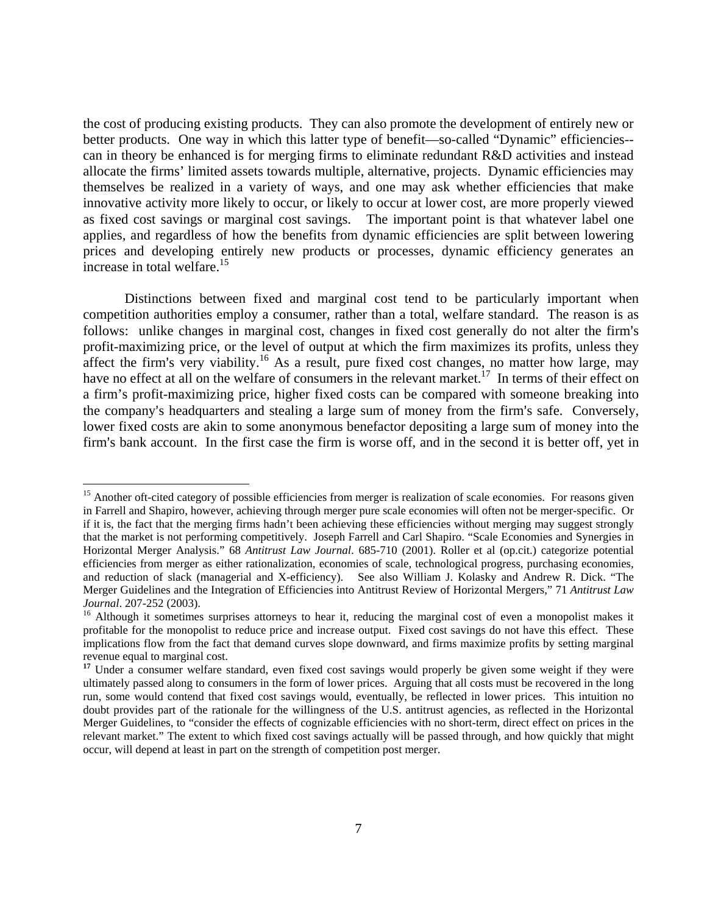the cost of producing existing products. They can also promote the development of entirely new or better products. One way in which this latter type of benefit—so-called "Dynamic" efficiencies- can in theory be enhanced is for merging firms to eliminate redundant R&D activities and instead allocate the firms' limited assets towards multiple, alternative, projects. Dynamic efficiencies may themselves be realized in a variety of ways, and one may ask whether efficiencies that make innovative activity more likely to occur, or likely to occur at lower cost, are more properly viewed as fixed cost savings or marginal cost savings. The important point is that whatever label one applies, and regardless of how the benefits from dynamic efficiencies are split between lowering prices and developing entirely new products or processes, dynamic efficiency generates an increase in total welfare.<sup>15</sup>

 Distinctions between fixed and marginal cost tend to be particularly important when competition authorities employ a consumer, rather than a total, welfare standard. The reason is as follows: unlike changes in marginal cost, changes in fixed cost generally do not alter the firm's profit-maximizing price, or the level of output at which the firm maximizes its profits, unless they affect the firm's very viability.<sup>16</sup> As a result, pure fixed cost changes, no matter how large, may have no effect at all on the welfare of consumers in the relevant market.<sup>17</sup> In terms of their effect on a firm's profit-maximizing price, higher fixed costs can be compared with someone breaking into the company's headquarters and stealing a large sum of money from the firm's safe. Conversely, lower fixed costs are akin to some anonymous benefactor depositing a large sum of money into the firm's bank account. In the first case the firm is worse off, and in the second it is better off, yet in

1

<sup>&</sup>lt;sup>15</sup> Another oft-cited category of possible efficiencies from merger is realization of scale economies. For reasons given in Farrell and Shapiro, however, achieving through merger pure scale economies will often not be merger-specific. Or if it is, the fact that the merging firms hadn't been achieving these efficiencies without merging may suggest strongly that the market is not performing competitively. Joseph Farrell and Carl Shapiro. "Scale Economies and Synergies in Horizontal Merger Analysis." 68 *Antitrust Law Journal*. 685-710 (2001). Roller et al (op.cit.) categorize potential efficiencies from merger as either rationalization, economies of scale, technological progress, purchasing economies, and reduction of slack (managerial and X-efficiency). See also William J. Kolasky and Andrew R. Dick. "The Merger Guidelines and the Integration of Efficiencies into Antitrust Review of Horizontal Mergers," 71 *Antitrust Law Journal*. 207-252 (2003).<br><sup>16</sup> Although it sometimes surprises attorneys to hear it, reducing the marginal cost of even a monopolist makes it

profitable for the monopolist to reduce price and increase output. Fixed cost savings do not have this effect. These implications flow from the fact that demand curves slope downward, and firms maximize profits by setting marginal revenue equal to marginal cost.

<sup>&</sup>lt;sup>17</sup> Under a consumer welfare standard, even fixed cost savings would properly be given some weight if they were ultimately passed along to consumers in the form of lower prices. Arguing that all costs must be recovered in the long run, some would contend that fixed cost savings would, eventually, be reflected in lower prices. This intuition no doubt provides part of the rationale for the willingness of the U.S. antitrust agencies, as reflected in the Horizontal Merger Guidelines, to "consider the effects of cognizable efficiencies with no short-term, direct effect on prices in the relevant market." The extent to which fixed cost savings actually will be passed through, and how quickly that might occur, will depend at least in part on the strength of competition post merger.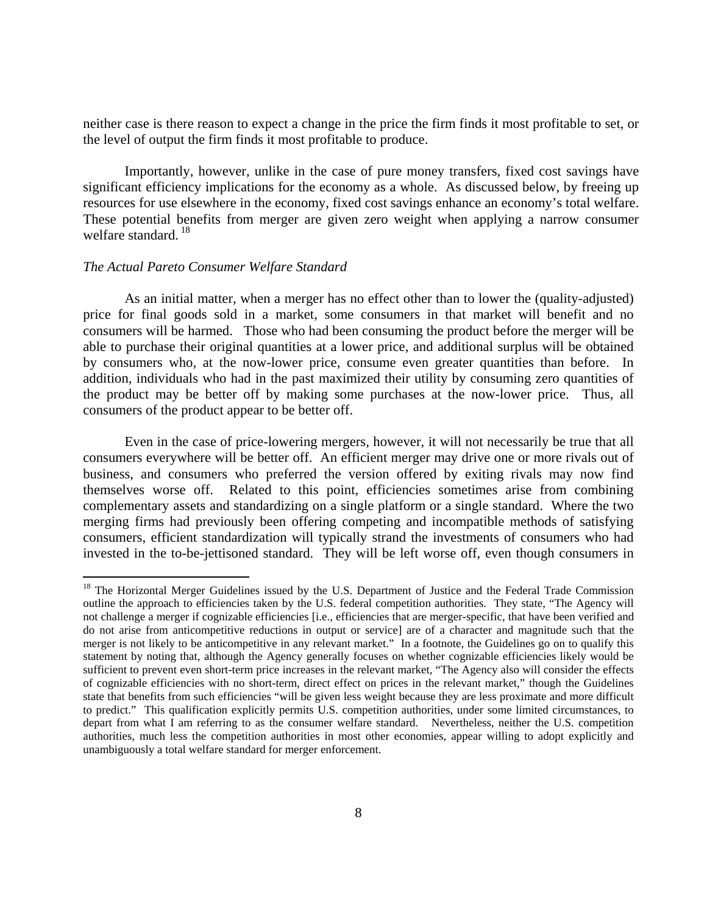neither case is there reason to expect a change in the price the firm finds it most profitable to set, or the level of output the firm finds it most profitable to produce.

 Importantly, however, unlike in the case of pure money transfers, fixed cost savings have significant efficiency implications for the economy as a whole. As discussed below, by freeing up resources for use elsewhere in the economy, fixed cost savings enhance an economy's total welfare. These potential benefits from merger are given zero weight when applying a narrow consumer welfare standard.<sup>18</sup>

# *The Actual Pareto Consumer Welfare Standard*

 $\overline{a}$ 

 As an initial matter, when a merger has no effect other than to lower the (quality-adjusted) price for final goods sold in a market, some consumers in that market will benefit and no consumers will be harmed. Those who had been consuming the product before the merger will be able to purchase their original quantities at a lower price, and additional surplus will be obtained by consumers who, at the now-lower price, consume even greater quantities than before. In addition, individuals who had in the past maximized their utility by consuming zero quantities of the product may be better off by making some purchases at the now-lower price. Thus, all consumers of the product appear to be better off.

 Even in the case of price-lowering mergers, however, it will not necessarily be true that all consumers everywhere will be better off. An efficient merger may drive one or more rivals out of business, and consumers who preferred the version offered by exiting rivals may now find themselves worse off. Related to this point, efficiencies sometimes arise from combining complementary assets and standardizing on a single platform or a single standard. Where the two merging firms had previously been offering competing and incompatible methods of satisfying consumers, efficient standardization will typically strand the investments of consumers who had invested in the to-be-jettisoned standard. They will be left worse off, even though consumers in

<sup>&</sup>lt;sup>18</sup> The Horizontal Merger Guidelines issued by the U.S. Department of Justice and the Federal Trade Commission outline the approach to efficiencies taken by the U.S. federal competition authorities. They state, "The Agency will not challenge a merger if cognizable efficiencies [i.e., efficiencies that are merger-specific, that have been verified and do not arise from anticompetitive reductions in output or service] are of a character and magnitude such that the merger is not likely to be anticompetitive in any relevant market." In a footnote, the Guidelines go on to qualify this statement by noting that, although the Agency generally focuses on whether cognizable efficiencies likely would be sufficient to prevent even short-term price increases in the relevant market, "The Agency also will consider the effects of cognizable efficiencies with no short-term, direct effect on prices in the relevant market," though the Guidelines state that benefits from such efficiencies "will be given less weight because they are less proximate and more difficult to predict." This qualification explicitly permits U.S. competition authorities, under some limited circumstances, to depart from what I am referring to as the consumer welfare standard. Nevertheless, neither the U.S. competition authorities, much less the competition authorities in most other economies, appear willing to adopt explicitly and unambiguously a total welfare standard for merger enforcement.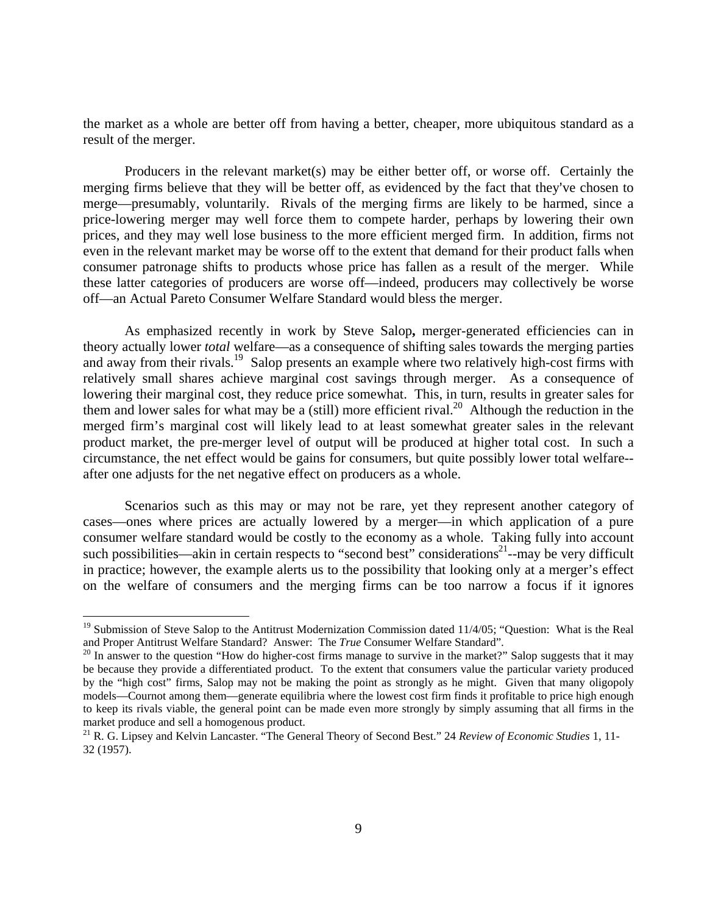the market as a whole are better off from having a better, cheaper, more ubiquitous standard as a result of the merger.

 Producers in the relevant market(s) may be either better off, or worse off. Certainly the merging firms believe that they will be better off, as evidenced by the fact that they've chosen to merge—presumably, voluntarily. Rivals of the merging firms are likely to be harmed, since a price-lowering merger may well force them to compete harder, perhaps by lowering their own prices, and they may well lose business to the more efficient merged firm. In addition, firms not even in the relevant market may be worse off to the extent that demand for their product falls when consumer patronage shifts to products whose price has fallen as a result of the merger. While these latter categories of producers are worse off—indeed, producers may collectively be worse off—an Actual Pareto Consumer Welfare Standard would bless the merger.

 As emphasized recently in work by Steve Salop**,** merger-generated efficiencies can in theory actually lower *total* welfare—as a consequence of shifting sales towards the merging parties and away from their rivals.<sup>19</sup> Salop presents an example where two relatively high-cost firms with relatively small shares achieve marginal cost savings through merger. As a consequence of lowering their marginal cost, they reduce price somewhat. This, in turn, results in greater sales for them and lower sales for what may be a (still) more efficient rival.<sup>20</sup> Although the reduction in the merged firm's marginal cost will likely lead to at least somewhat greater sales in the relevant product market, the pre-merger level of output will be produced at higher total cost. In such a circumstance, the net effect would be gains for consumers, but quite possibly lower total welfare- after one adjusts for the net negative effect on producers as a whole.

 Scenarios such as this may or may not be rare, yet they represent another category of cases—ones where prices are actually lowered by a merger—in which application of a pure consumer welfare standard would be costly to the economy as a whole. Taking fully into account such possibilities—akin in certain respects to "second best" considerations<sup>21</sup>--may be very difficult in practice; however, the example alerts us to the possibility that looking only at a merger's effect on the welfare of consumers and the merging firms can be too narrow a focus if it ignores

 $19$  Submission of Steve Salop to the Antitrust Modernization Commission dated 11/4/05; "Question: What is the Real and Proper Antitrust Welfare Standard? Answer: The *True* Consumer Welfare Standard".<br><sup>20</sup> In answer to the question "How do higher-cost firms manage to survive in the market?" Salop suggests that it may

be because they provide a differentiated product. To the extent that consumers value the particular variety produced by the "high cost" firms, Salop may not be making the point as strongly as he might. Given that many oligopoly models—Cournot among them—generate equilibria where the lowest cost firm finds it profitable to price high enough to keep its rivals viable, the general point can be made even more strongly by simply assuming that all firms in the market produce and sell a homogenous product.

<sup>21</sup> R. G. Lipsey and Kelvin Lancaster. "The General Theory of Second Best." 24 *Review of Economic Studies* 1, 11- 32 (1957).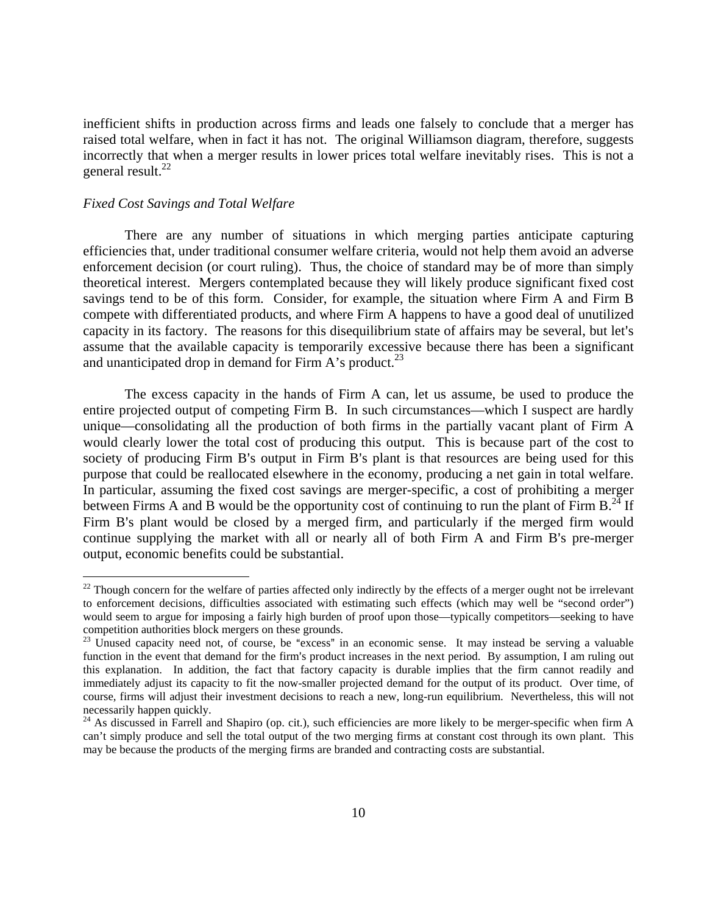inefficient shifts in production across firms and leads one falsely to conclude that a merger has raised total welfare, when in fact it has not. The original Williamson diagram, therefore, suggests incorrectly that when a merger results in lower prices total welfare inevitably rises. This is not a general result. $^{22}$ 

# *Fixed Cost Savings and Total Welfare*

 $\overline{a}$ 

 There are any number of situations in which merging parties anticipate capturing efficiencies that, under traditional consumer welfare criteria, would not help them avoid an adverse enforcement decision (or court ruling). Thus, the choice of standard may be of more than simply theoretical interest. Mergers contemplated because they will likely produce significant fixed cost savings tend to be of this form. Consider, for example, the situation where Firm A and Firm B compete with differentiated products, and where Firm A happens to have a good deal of unutilized capacity in its factory. The reasons for this disequilibrium state of affairs may be several, but let's assume that the available capacity is temporarily excessive because there has been a significant and unanticipated drop in demand for Firm A's product.<sup>23</sup>

 The excess capacity in the hands of Firm A can, let us assume, be used to produce the entire projected output of competing Firm B. In such circumstances—which I suspect are hardly unique—consolidating all the production of both firms in the partially vacant plant of Firm A would clearly lower the total cost of producing this output. This is because part of the cost to society of producing Firm B's output in Firm B's plant is that resources are being used for this purpose that could be reallocated elsewhere in the economy, producing a net gain in total welfare. In particular, assuming the fixed cost savings are merger-specific, a cost of prohibiting a merger between Firms A and B would be the opportunity cost of continuing to run the plant of Firm  $B<sup>24</sup>$  If Firm B's plant would be closed by a merged firm, and particularly if the merged firm would continue supplying the market with all or nearly all of both Firm A and Firm B's pre-merger output, economic benefits could be substantial.

 $22$  Though concern for the welfare of parties affected only indirectly by the effects of a merger ought not be irrelevant to enforcement decisions, difficulties associated with estimating such effects (which may well be "second order") would seem to argue for imposing a fairly high burden of proof upon those—typically competitors—seeking to have competition authorities block mergers on these grounds.

 $23$  Unused capacity need not, of course, be "excess" in an economic sense. It may instead be serving a valuable function in the event that demand for the firm's product increases in the next period. By assumption, I am ruling out this explanation. In addition, the fact that factory capacity is durable implies that the firm cannot readily and immediately adjust its capacity to fit the now-smaller projected demand for the output of its product. Over time, of course, firms will adjust their investment decisions to reach a new, long-run equilibrium. Nevertheless, this will not necessarily happen quickly.

<sup>&</sup>lt;sup>24</sup> As discussed in Farrell and Shapiro (op. cit.), such efficiencies are more likely to be merger-specific when firm A can't simply produce and sell the total output of the two merging firms at constant cost through its own plant. This may be because the products of the merging firms are branded and contracting costs are substantial.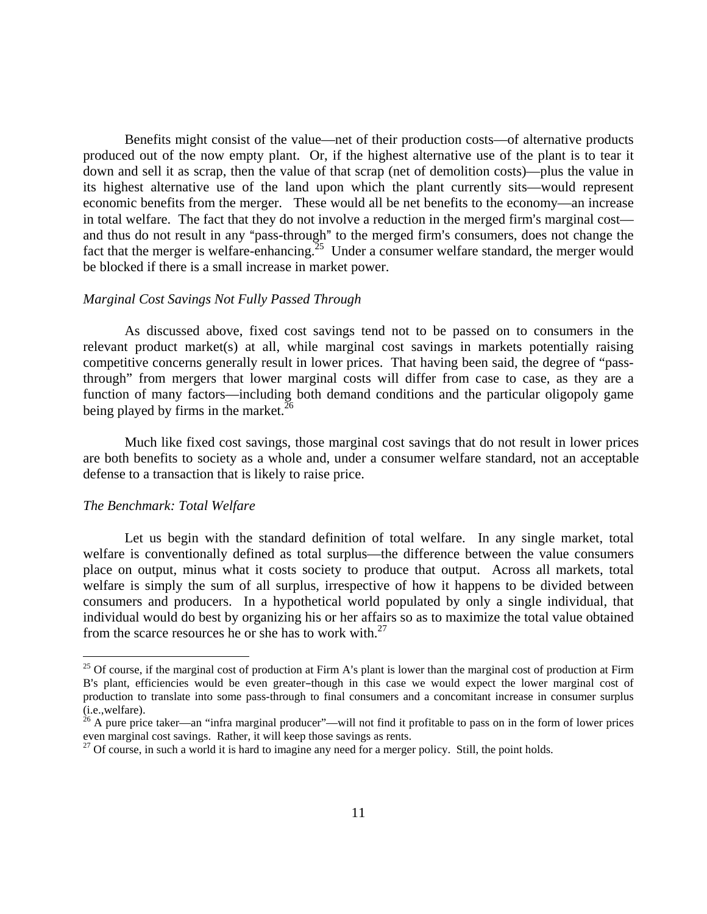Benefits might consist of the value—net of their production costs—of alternative products produced out of the now empty plant. Or, if the highest alternative use of the plant is to tear it down and sell it as scrap, then the value of that scrap (net of demolition costs)—plus the value in its highest alternative use of the land upon which the plant currently sits—would represent economic benefits from the merger. These would all be net benefits to the economy—an increase in total welfare. The fact that they do not involve a reduction in the merged firm's marginal cost and thus do not result in any "pass-through" to the merged firm's consumers, does not change the fact that the merger is welfare-enhancing.<sup>25</sup> Under a consumer welfare standard, the merger would be blocked if there is a small increase in market power.

# *Marginal Cost Savings Not Fully Passed Through*

 As discussed above, fixed cost savings tend not to be passed on to consumers in the relevant product market(s) at all, while marginal cost savings in markets potentially raising competitive concerns generally result in lower prices. That having been said, the degree of "passthrough" from mergers that lower marginal costs will differ from case to case, as they are a function of many factors—including both demand conditions and the particular oligopoly game being played by firms in the market.<sup>26</sup>

 Much like fixed cost savings, those marginal cost savings that do not result in lower prices are both benefits to society as a whole and, under a consumer welfare standard, not an acceptable defense to a transaction that is likely to raise price.

#### *The Benchmark: Total Welfare*

 $\overline{a}$ 

 Let us begin with the standard definition of total welfare. In any single market, total welfare is conventionally defined as total surplus—the difference between the value consumers place on output, minus what it costs society to produce that output. Across all markets, total welfare is simply the sum of all surplus, irrespective of how it happens to be divided between consumers and producers. In a hypothetical world populated by only a single individual, that individual would do best by organizing his or her affairs so as to maximize the total value obtained from the scarce resources he or she has to work with.<sup>27</sup>

 $25$  Of course, if the marginal cost of production at Firm A's plant is lower than the marginal cost of production at Firm B's plant, efficiencies would be even greater-though in this case we would expect the lower marginal cost of production to translate into some pass-through to final consumers and a concomitant increase in consumer surplus (i.e.,welfare).

<sup>&</sup>lt;sup>26</sup> A pure price taker—an "infra marginal producer"—will not find it profitable to pass on in the form of lower prices even marginal cost savings. Rather, it will keep those savings as rents.

 $27$  Of course, in such a world it is hard to imagine any need for a merger policy. Still, the point holds.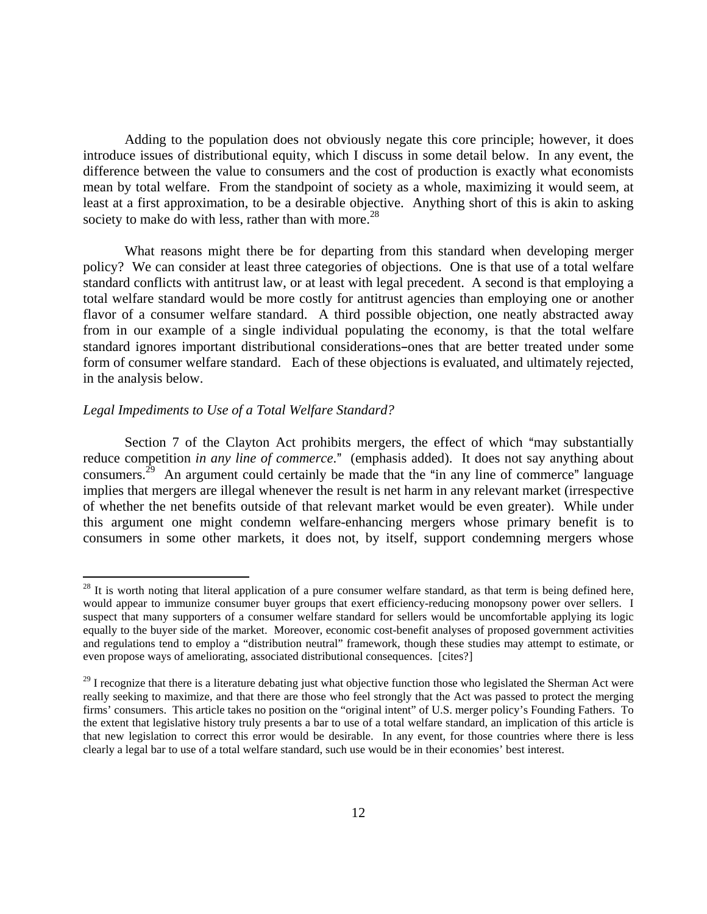Adding to the population does not obviously negate this core principle; however, it does introduce issues of distributional equity, which I discuss in some detail below. In any event, the difference between the value to consumers and the cost of production is exactly what economists mean by total welfare. From the standpoint of society as a whole, maximizing it would seem, at least at a first approximation, to be a desirable objective. Anything short of this is akin to asking society to make do with less, rather than with more.<sup>28</sup>

 What reasons might there be for departing from this standard when developing merger policy? We can consider at least three categories of objections. One is that use of a total welfare standard conflicts with antitrust law, or at least with legal precedent. A second is that employing a total welfare standard would be more costly for antitrust agencies than employing one or another flavor of a consumer welfare standard. A third possible objection, one neatly abstracted away from in our example of a single individual populating the economy, is that the total welfare standard ignores important distributional considerations-ones that are better treated under some form of consumer welfare standard. Each of these objections is evaluated, and ultimately rejected, in the analysis below.

# *Legal Impediments to Use of a Total Welfare Standard?*

 $\overline{a}$ 

Section 7 of the Clayton Act prohibits mergers, the effect of which "may substantially reduce competition *in any line of commerce*." (emphasis added). It does not say anything about consumers.<sup>29</sup> An argument could certainly be made that the "in any line of commerce" language implies that mergers are illegal whenever the result is net harm in any relevant market (irrespective of whether the net benefits outside of that relevant market would be even greater). While under this argument one might condemn welfare-enhancing mergers whose primary benefit is to consumers in some other markets, it does not, by itself, support condemning mergers whose

 $28$  It is worth noting that literal application of a pure consumer welfare standard, as that term is being defined here, would appear to immunize consumer buyer groups that exert efficiency-reducing monopsony power over sellers. I suspect that many supporters of a consumer welfare standard for sellers would be uncomfortable applying its logic equally to the buyer side of the market. Moreover, economic cost-benefit analyses of proposed government activities and regulations tend to employ a "distribution neutral" framework, though these studies may attempt to estimate, or even propose ways of ameliorating, associated distributional consequences. [cites?]

<sup>&</sup>lt;sup>29</sup> I recognize that there is a literature debating just what objective function those who legislated the Sherman Act were really seeking to maximize, and that there are those who feel strongly that the Act was passed to protect the merging firms' consumers. This article takes no position on the "original intent" of U.S. merger policy's Founding Fathers. To the extent that legislative history truly presents a bar to use of a total welfare standard, an implication of this article is that new legislation to correct this error would be desirable. In any event, for those countries where there is less clearly a legal bar to use of a total welfare standard, such use would be in their economies' best interest.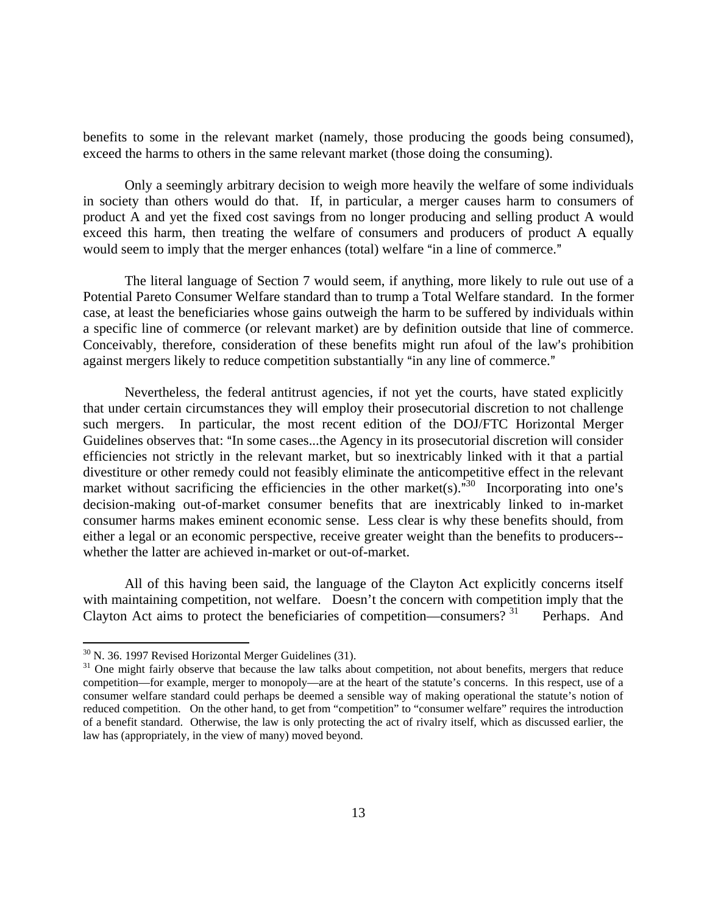benefits to some in the relevant market (namely, those producing the goods being consumed), exceed the harms to others in the same relevant market (those doing the consuming).

 Only a seemingly arbitrary decision to weigh more heavily the welfare of some individuals in society than others would do that. If, in particular, a merger causes harm to consumers of product A and yet the fixed cost savings from no longer producing and selling product A would exceed this harm, then treating the welfare of consumers and producers of product A equally would seem to imply that the merger enhances (total) welfare "in a line of commerce."

 The literal language of Section 7 would seem, if anything, more likely to rule out use of a Potential Pareto Consumer Welfare standard than to trump a Total Welfare standard. In the former case, at least the beneficiaries whose gains outweigh the harm to be suffered by individuals within a specific line of commerce (or relevant market) are by definition outside that line of commerce. Conceivably, therefore, consideration of these benefits might run afoul of the law's prohibition against mergers likely to reduce competition substantially "in any line of commerce."

 Nevertheless, the federal antitrust agencies, if not yet the courts, have stated explicitly that under certain circumstances they will employ their prosecutorial discretion to not challenge such mergers. In particular, the most recent edition of the DOJ/FTC Horizontal Merger Guidelines observes that: "In some cases...the Agency in its prosecutorial discretion will consider efficiencies not strictly in the relevant market, but so inextricably linked with it that a partial divestiture or other remedy could not feasibly eliminate the anticompetitive effect in the relevant market without sacrificing the efficiencies in the other market(s).<sup> $\frac{30}{120}$ </sup> Incorporating into one's decision-making out-of-market consumer benefits that are inextricably linked to in-market consumer harms makes eminent economic sense. Less clear is why these benefits should, from either a legal or an economic perspective, receive greater weight than the benefits to producers- whether the latter are achieved in-market or out-of-market.

 All of this having been said, the language of the Clayton Act explicitly concerns itself with maintaining competition, not welfare. Doesn't the concern with competition imply that the Clayton Act aims to protect the beneficiaries of competition—consumers?<sup>31</sup> Perhaps. And

 $30$  N. 36. 1997 Revised Horizontal Merger Guidelines (31).

<sup>&</sup>lt;sup>31</sup> One might fairly observe that because the law talks about competition, not about benefits, mergers that reduce competition—for example, merger to monopoly—are at the heart of the statute's concerns. In this respect, use of a consumer welfare standard could perhaps be deemed a sensible way of making operational the statute's notion of reduced competition. On the other hand, to get from "competition" to "consumer welfare" requires the introduction of a benefit standard. Otherwise, the law is only protecting the act of rivalry itself, which as discussed earlier, the law has (appropriately, in the view of many) moved beyond.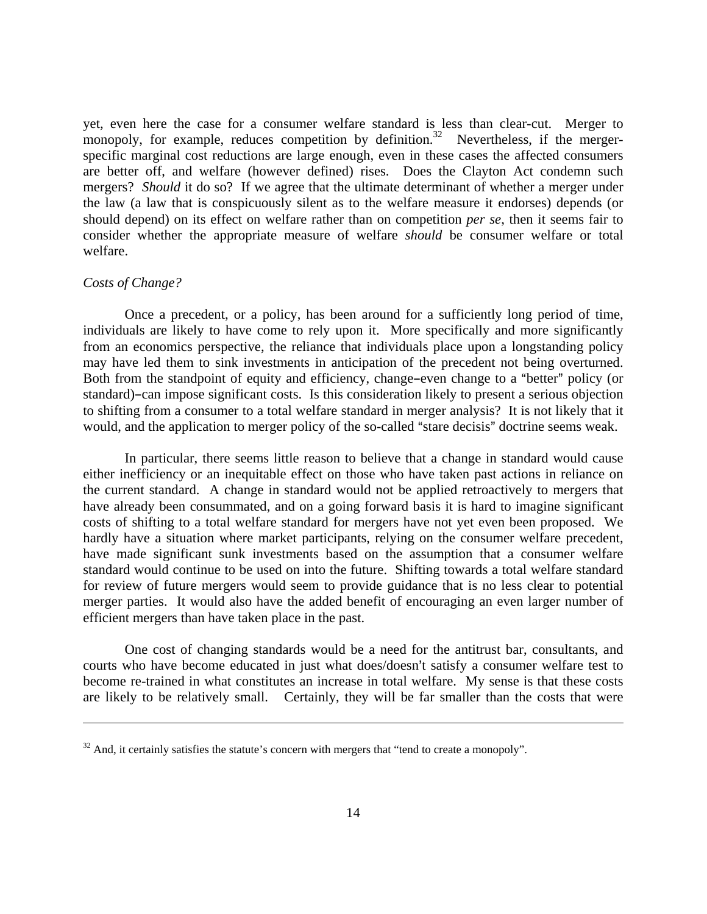yet, even here the case for a consumer welfare standard is less than clear-cut. Merger to monopoly, for example, reduces competition by definition.<sup>32</sup> Nevertheless, if the mergerspecific marginal cost reductions are large enough, even in these cases the affected consumers are better off, and welfare (however defined) rises. Does the Clayton Act condemn such mergers? *Should* it do so? If we agree that the ultimate determinant of whether a merger under the law (a law that is conspicuously silent as to the welfare measure it endorses) depends (or should depend) on its effect on welfare rather than on competition *per se*, then it seems fair to consider whether the appropriate measure of welfare *should* be consumer welfare or total welfare.

# *Costs of Change?*

 $\overline{a}$ 

 Once a precedent, or a policy, has been around for a sufficiently long period of time, individuals are likely to have come to rely upon it. More specifically and more significantly from an economics perspective, the reliance that individuals place upon a longstanding policy may have led them to sink investments in anticipation of the precedent not being overturned. Both from the standpoint of equity and efficiency, change-even change to a "better" policy (or standard)-can impose significant costs. Is this consideration likely to present a serious objection to shifting from a consumer to a total welfare standard in merger analysis? It is not likely that it would, and the application to merger policy of the so-called "stare decisis" doctrine seems weak.

 In particular, there seems little reason to believe that a change in standard would cause either inefficiency or an inequitable effect on those who have taken past actions in reliance on the current standard. A change in standard would not be applied retroactively to mergers that have already been consummated, and on a going forward basis it is hard to imagine significant costs of shifting to a total welfare standard for mergers have not yet even been proposed. We hardly have a situation where market participants, relying on the consumer welfare precedent, have made significant sunk investments based on the assumption that a consumer welfare standard would continue to be used on into the future. Shifting towards a total welfare standard for review of future mergers would seem to provide guidance that is no less clear to potential merger parties. It would also have the added benefit of encouraging an even larger number of efficient mergers than have taken place in the past.

 One cost of changing standards would be a need for the antitrust bar, consultants, and courts who have become educated in just what does/doesn't satisfy a consumer welfare test to become re-trained in what constitutes an increase in total welfare. My sense is that these costs are likely to be relatively small. Certainly, they will be far smaller than the costs that were

 $32$  And, it certainly satisfies the statute's concern with mergers that "tend to create a monopoly".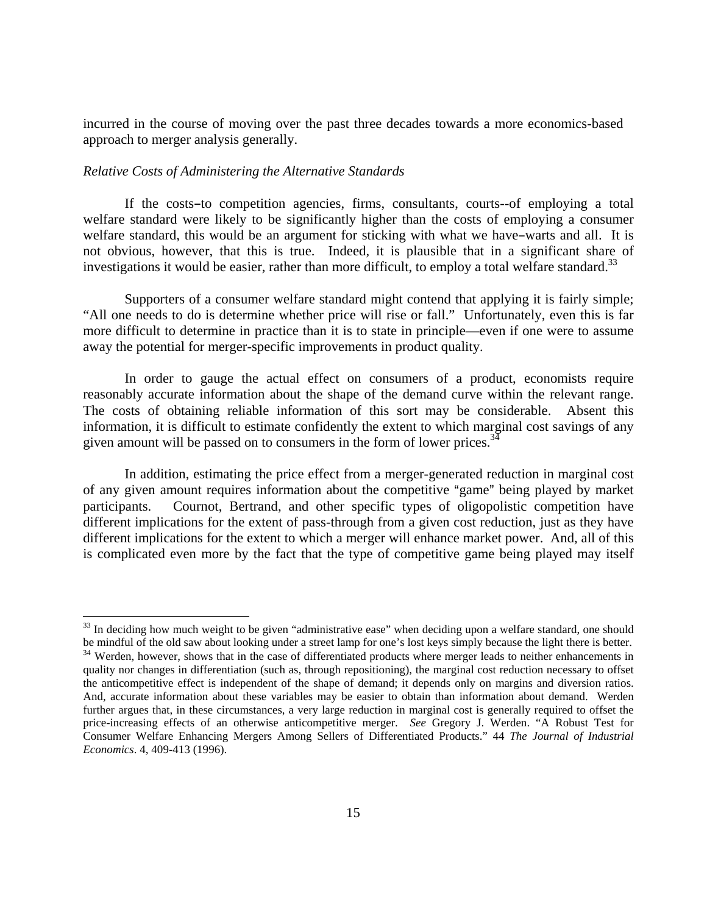incurred in the course of moving over the past three decades towards a more economics-based approach to merger analysis generally.

# *Relative Costs of Administering the Alternative Standards*

 $\overline{a}$ 

If the costs-to competition agencies, firms, consultants, courts--of employing a total welfare standard were likely to be significantly higher than the costs of employing a consumer welfare standard, this would be an argument for sticking with what we have-warts and all. It is not obvious, however, that this is true. Indeed, it is plausible that in a significant share of investigations it would be easier, rather than more difficult, to employ a total welfare standard.<sup>33</sup>

 Supporters of a consumer welfare standard might contend that applying it is fairly simple; "All one needs to do is determine whether price will rise or fall." Unfortunately, even this is far more difficult to determine in practice than it is to state in principle—even if one were to assume away the potential for merger-specific improvements in product quality.

 In order to gauge the actual effect on consumers of a product, economists require reasonably accurate information about the shape of the demand curve within the relevant range. The costs of obtaining reliable information of this sort may be considerable. Absent this information, it is difficult to estimate confidently the extent to which marginal cost savings of any given amount will be passed on to consumers in the form of lower prices.<sup>34</sup>

 In addition, estimating the price effect from a merger-generated reduction in marginal cost of any given amount requires information about the competitive "game" being played by market participants. Cournot, Bertrand, and other specific types of oligopolistic competition have different implications for the extent of pass-through from a given cost reduction, just as they have different implications for the extent to which a merger will enhance market power. And, all of this is complicated even more by the fact that the type of competitive game being played may itself

 $33$  In deciding how much weight to be given "administrative ease" when deciding upon a welfare standard, one should<br>be mindful of the old saw about looking under a street lamp for one's lost keys simply because the light <sup>34</sup> Werden, however, shows that in the case of differentiated products where merger leads to neither enhancements in quality nor changes in differentiation (such as, through repositioning), the marginal cost reduction necessary to offset the anticompetitive effect is independent of the shape of demand; it depends only on margins and diversion ratios. And, accurate information about these variables may be easier to obtain than information about demand. Werden further argues that, in these circumstances, a very large reduction in marginal cost is generally required to offset the price-increasing effects of an otherwise anticompetitive merger. *See* Gregory J. Werden. "A Robust Test for Consumer Welfare Enhancing Mergers Among Sellers of Differentiated Products." 44 *The Journal of Industrial Economics*. 4, 409-413 (1996).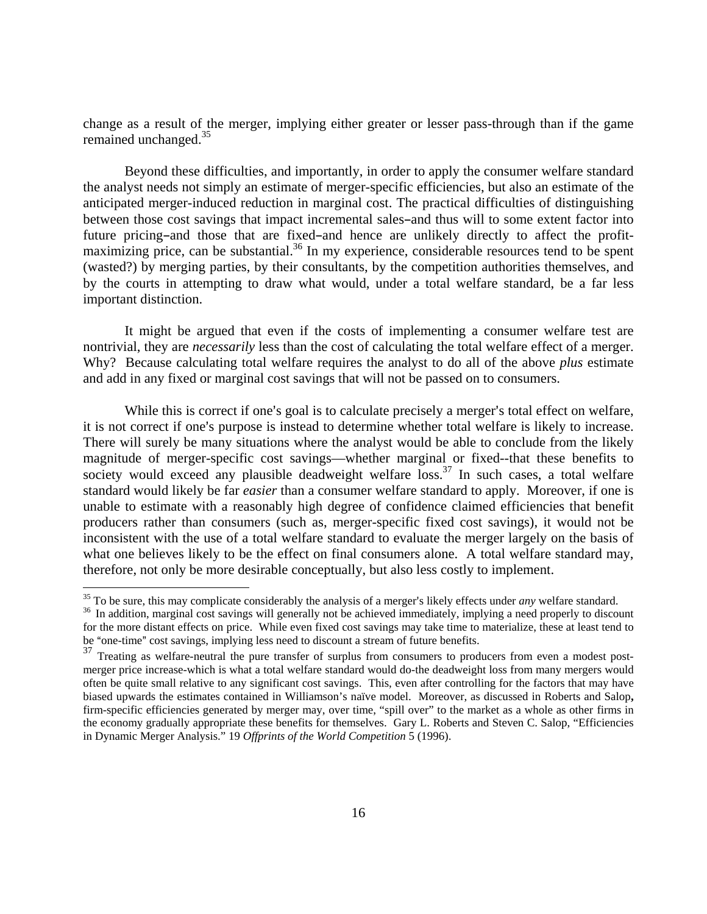change as a result of the merger, implying either greater or lesser pass-through than if the game remained unchanged.<sup>35</sup>

 Beyond these difficulties, and importantly, in order to apply the consumer welfare standard the analyst needs not simply an estimate of merger-specific efficiencies, but also an estimate of the anticipated merger-induced reduction in marginal cost. The practical difficulties of distinguishing between those cost savings that impact incremental sales-and thus will to some extent factor into future pricing-and those that are fixed-and hence are unlikely directly to affect the profitmaximizing price, can be substantial.<sup>36</sup> In my experience, considerable resources tend to be spent (wasted?) by merging parties, by their consultants, by the competition authorities themselves, and by the courts in attempting to draw what would, under a total welfare standard, be a far less important distinction.

 It might be argued that even if the costs of implementing a consumer welfare test are nontrivial, they are *necessarily* less than the cost of calculating the total welfare effect of a merger. Why? Because calculating total welfare requires the analyst to do all of the above *plus* estimate and add in any fixed or marginal cost savings that will not be passed on to consumers.

While this is correct if one's goal is to calculate precisely a merger's total effect on welfare, it is not correct if one's purpose is instead to determine whether total welfare is likely to increase. There will surely be many situations where the analyst would be able to conclude from the likely magnitude of merger-specific cost savings—whether marginal or fixed--that these benefits to society would exceed any plausible deadweight welfare  $\overline{loss}$ .<sup>37</sup> In such cases, a total welfare standard would likely be far *easier* than a consumer welfare standard to apply. Moreover, if one is unable to estimate with a reasonably high degree of confidence claimed efficiencies that benefit producers rather than consumers (such as, merger-specific fixed cost savings), it would not be inconsistent with the use of a total welfare standard to evaluate the merger largely on the basis of what one believes likely to be the effect on final consumers alone. A total welfare standard may, therefore, not only be more desirable conceptually, but also less costly to implement.

 $^{35}$  To be sure, this may complicate considerably the analysis of a merger's likely effects under *any* welfare standard.<br><sup>36</sup> In addition, marginal cost savings will generally not be achieved immediately, implying a ne for the more distant effects on price. While even fixed cost savings may take time to materialize, these at least tend to be "one-time" cost savings, implying less need to discount a stream of future benefits.

<sup>&</sup>lt;sup>37</sup> Treating as welfare-neutral the pure transfer of surplus from consumers to producers from even a modest postmerger price increase-which is what a total welfare standard would do-the deadweight loss from many mergers would often be quite small relative to any significant cost savings. This, even after controlling for the factors that may have biased upwards the estimates contained in Williamson's naïve model. Moreover, as discussed in Roberts and Salop**,** firm-specific efficiencies generated by merger may, over time, "spill over" to the market as a whole as other firms in the economy gradually appropriate these benefits for themselves. Gary L. Roberts and Steven C. Salop, "Efficiencies in Dynamic Merger Analysis." 19 *Offprints of the World Competition* 5 (1996).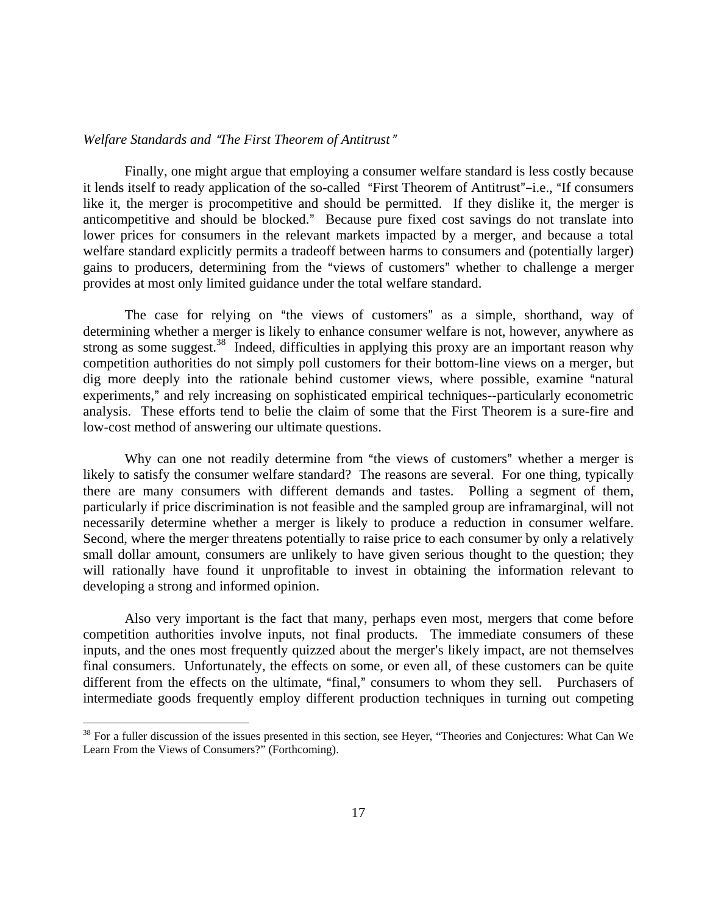# *Welfare Standards and "The First Theorem of Antitrust"*

1

 Finally, one might argue that employing a consumer welfare standard is less costly because it lends itself to ready application of the so-called "First Theorem of Antitrust"-i.e., "If consumers like it, the merger is procompetitive and should be permitted. If they dislike it, the merger is anticompetitive and should be blocked." Because pure fixed cost savings do not translate into lower prices for consumers in the relevant markets impacted by a merger, and because a total welfare standard explicitly permits a tradeoff between harms to consumers and (potentially larger) gains to producers, determining from the "views of customers" whether to challenge a merger provides at most only limited guidance under the total welfare standard.

The case for relying on "the views of customers" as a simple, shorthand, way of determining whether a merger is likely to enhance consumer welfare is not, however, anywhere as strong as some suggest.<sup>38</sup> Indeed, difficulties in applying this proxy are an important reason why competition authorities do not simply poll customers for their bottom-line views on a merger, but dig more deeply into the rationale behind customer views, where possible, examine "natural experiments," and rely increasing on sophisticated empirical techniques--particularly econometric analysis. These efforts tend to belie the claim of some that the First Theorem is a sure-fire and low-cost method of answering our ultimate questions.

Why can one not readily determine from "the views of customers" whether a merger is likely to satisfy the consumer welfare standard? The reasons are several. For one thing, typically there are many consumers with different demands and tastes. Polling a segment of them, particularly if price discrimination is not feasible and the sampled group are inframarginal, will not necessarily determine whether a merger is likely to produce a reduction in consumer welfare. Second, where the merger threatens potentially to raise price to each consumer by only a relatively small dollar amount, consumers are unlikely to have given serious thought to the question; they will rationally have found it unprofitable to invest in obtaining the information relevant to developing a strong and informed opinion.

 Also very important is the fact that many, perhaps even most, mergers that come before competition authorities involve inputs, not final products. The immediate consumers of these inputs, and the ones most frequently quizzed about the merger's likely impact, are not themselves final consumers. Unfortunately, the effects on some, or even all, of these customers can be quite different from the effects on the ultimate, "final," consumers to whom they sell. Purchasers of intermediate goods frequently employ different production techniques in turning out competing

 $38$  For a fuller discussion of the issues presented in this section, see Heyer, "Theories and Conjectures: What Can We Learn From the Views of Consumers?" (Forthcoming).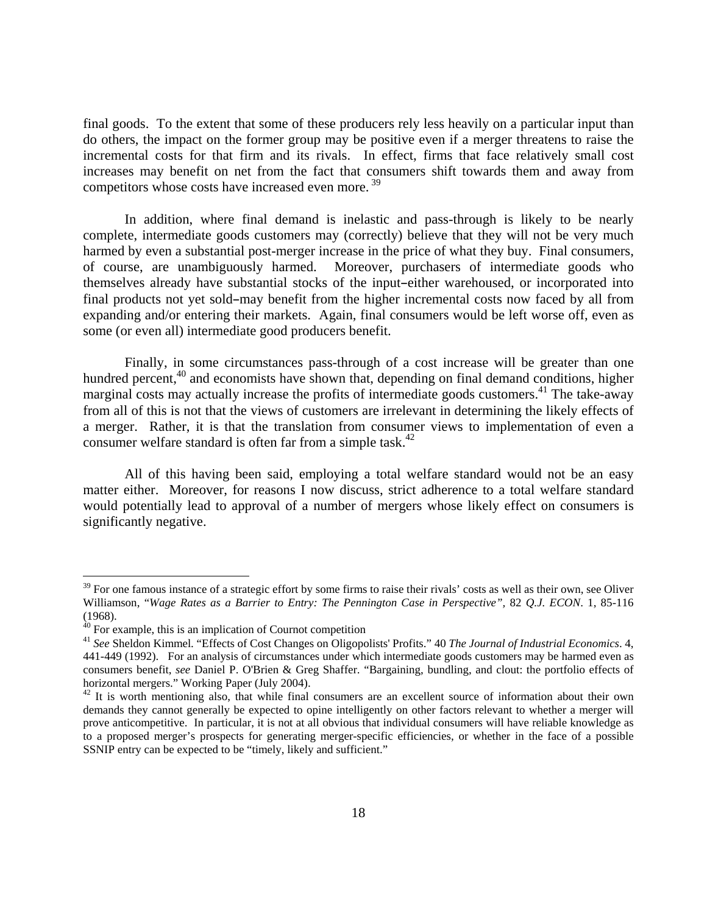final goods. To the extent that some of these producers rely less heavily on a particular input than do others, the impact on the former group may be positive even if a merger threatens to raise the incremental costs for that firm and its rivals. In effect, firms that face relatively small cost increases may benefit on net from the fact that consumers shift towards them and away from competitors whose costs have increased even more.<sup>39</sup>

 In addition, where final demand is inelastic and pass-through is likely to be nearly complete, intermediate goods customers may (correctly) believe that they will not be very much harmed by even a substantial post-merger increase in the price of what they buy. Final consumers, of course, are unambiguously harmed. Moreover, purchasers of intermediate goods who themselves already have substantial stocks of the input-either warehoused, or incorporated into final products not yet sold-may benefit from the higher incremental costs now faced by all from expanding and/or entering their markets. Again, final consumers would be left worse off, even as some (or even all) intermediate good producers benefit.

 Finally, in some circumstances pass-through of a cost increase will be greater than one hundred percent,<sup>40</sup> and economists have shown that, depending on final demand conditions, higher marginal costs may actually increase the profits of intermediate goods customers.<sup>41</sup> The take-away from all of this is not that the views of customers are irrelevant in determining the likely effects of a merger. Rather, it is that the translation from consumer views to implementation of even a consumer welfare standard is often far from a simple task.<sup>42</sup>

 All of this having been said, employing a total welfare standard would not be an easy matter either. Moreover, for reasons I now discuss, strict adherence to a total welfare standard would potentially lead to approval of a number of mergers whose likely effect on consumers is significantly negative.

 $39$  For one famous instance of a strategic effort by some firms to raise their rivals' costs as well as their own, see Oliver Williamson, "*Wage Rates as a Barrier to Entry: The Pennington Case in Perspective",* 82 *Q.J. ECON*. 1, 85-116 (1968).

 $40$  For example, this is an implication of Cournot competition

<sup>41</sup> *See* Sheldon Kimmel. "Effects of Cost Changes on Oligopolists' Profits." 40 *The Journal of Industrial Economics*. 4, 441-449 (1992). For an analysis of circumstances under which intermediate goods customers may be harmed even as consumers benefit, *see* Daniel P. O'Brien & Greg Shaffer. "Bargaining, bundling, and clout: the portfolio effects of horizontal mergers." Working Paper (July 2004).

 $42$  It is worth mentioning also, that while final consumers are an excellent source of information about their own demands they cannot generally be expected to opine intelligently on other factors relevant to whether a merger will prove anticompetitive. In particular, it is not at all obvious that individual consumers will have reliable knowledge as to a proposed merger's prospects for generating merger-specific efficiencies, or whether in the face of a possible SSNIP entry can be expected to be "timely, likely and sufficient."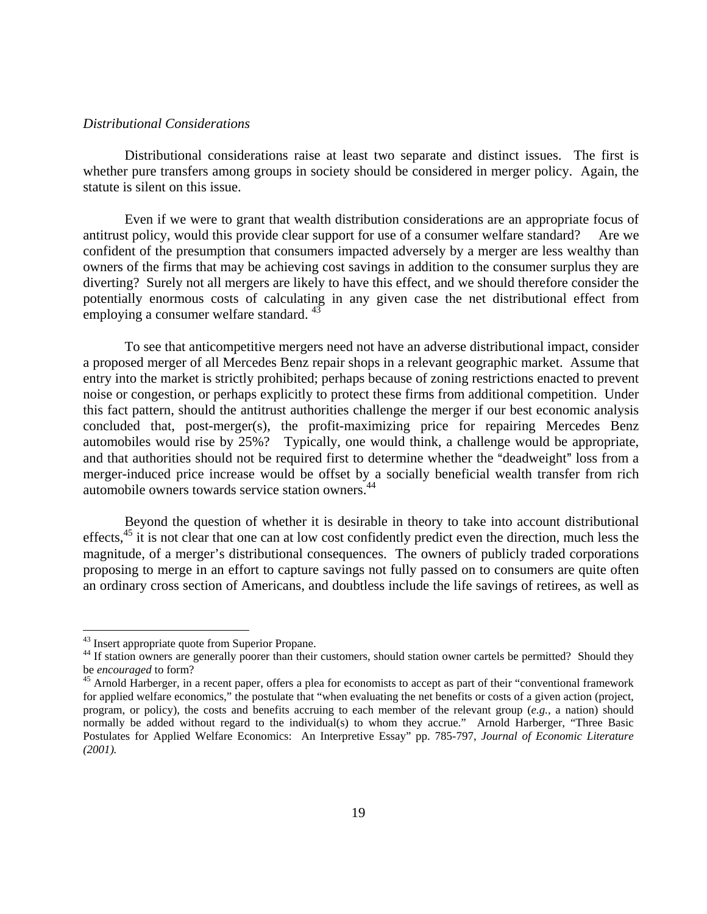# *Distributional Considerations*

 Distributional considerations raise at least two separate and distinct issues. The first is whether pure transfers among groups in society should be considered in merger policy. Again, the statute is silent on this issue.

 Even if we were to grant that wealth distribution considerations are an appropriate focus of antitrust policy, would this provide clear support for use of a consumer welfare standard? Are we confident of the presumption that consumers impacted adversely by a merger are less wealthy than owners of the firms that may be achieving cost savings in addition to the consumer surplus they are diverting? Surely not all mergers are likely to have this effect, and we should therefore consider the potentially enormous costs of calculating in any given case the net distributional effect from employing a consumer welfare standard.  $43$ 

 To see that anticompetitive mergers need not have an adverse distributional impact, consider a proposed merger of all Mercedes Benz repair shops in a relevant geographic market. Assume that entry into the market is strictly prohibited; perhaps because of zoning restrictions enacted to prevent noise or congestion, or perhaps explicitly to protect these firms from additional competition. Under this fact pattern, should the antitrust authorities challenge the merger if our best economic analysis concluded that, post-merger(s), the profit-maximizing price for repairing Mercedes Benz automobiles would rise by 25%? Typically, one would think, a challenge would be appropriate, and that authorities should not be required first to determine whether the "deadweight" loss from a merger-induced price increase would be offset by a socially beneficial wealth transfer from rich automobile owners towards service station owners.44

 Beyond the question of whether it is desirable in theory to take into account distributional effects,<sup>45</sup> it is not clear that one can at low cost confidently predict even the direction, much less the magnitude, of a merger's distributional consequences. The owners of publicly traded corporations proposing to merge in an effort to capture savings not fully passed on to consumers are quite often an ordinary cross section of Americans, and doubtless include the life savings of retirees, as well as

<sup>&</sup>lt;sup>43</sup> Insert appropriate quote from Superior Propane.

<sup>&</sup>lt;sup>44</sup> If station owners are generally poorer than their customers, should station owner cartels be permitted? Should they be *encouraged* to form?<br><sup>45</sup> Arnold Harberger, in a recent paper, offers a plea for economists to accept as part of their "conventional framework

for applied welfare economics," the postulate that "when evaluating the net benefits or costs of a given action (project, program, or policy), the costs and benefits accruing to each member of the relevant group (*e.g.,* a nation) should normally be added without regard to the individual(s) to whom they accrue." Arnold Harberger, "Three Basic Postulates for Applied Welfare Economics: An Interpretive Essay" pp. 785-797, *Journal of Economic Literature (2001).*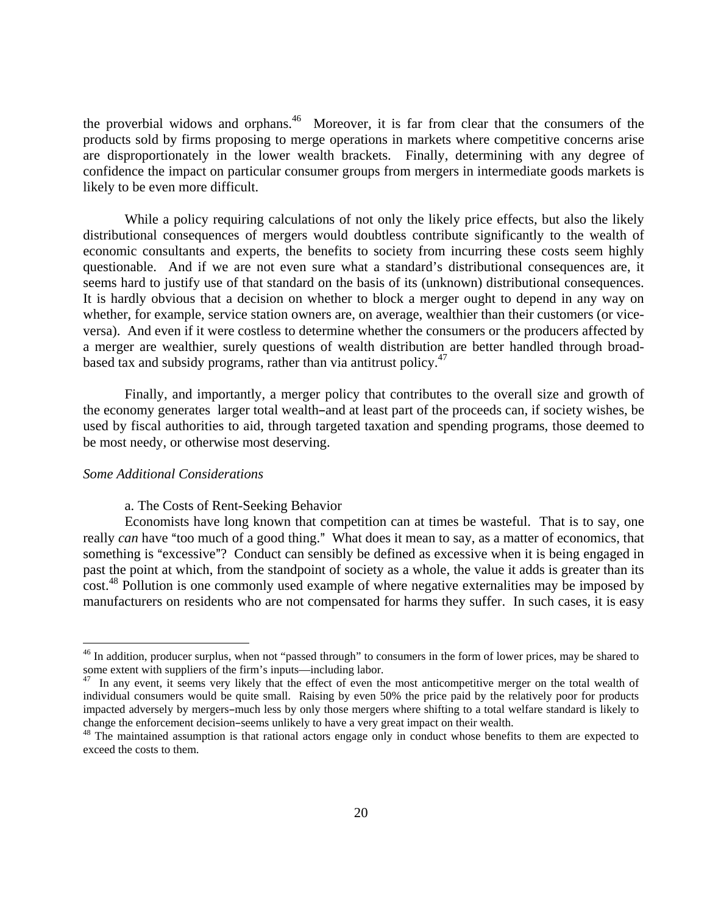the proverbial widows and orphans.<sup>46</sup> Moreover, it is far from clear that the consumers of the products sold by firms proposing to merge operations in markets where competitive concerns arise are disproportionately in the lower wealth brackets. Finally, determining with any degree of confidence the impact on particular consumer groups from mergers in intermediate goods markets is likely to be even more difficult.

While a policy requiring calculations of not only the likely price effects, but also the likely distributional consequences of mergers would doubtless contribute significantly to the wealth of economic consultants and experts, the benefits to society from incurring these costs seem highly questionable. And if we are not even sure what a standard's distributional consequences are, it seems hard to justify use of that standard on the basis of its (unknown) distributional consequences. It is hardly obvious that a decision on whether to block a merger ought to depend in any way on whether, for example, service station owners are, on average, wealthier than their customers (or viceversa). And even if it were costless to determine whether the consumers or the producers affected by a merger are wealthier, surely questions of wealth distribution are better handled through broadbased tax and subsidy programs, rather than via antitrust policy. $47$ 

 Finally, and importantly, a merger policy that contributes to the overall size and growth of the economy generates larger total wealth-and at least part of the proceeds can, if society wishes, be used by fiscal authorities to aid, through targeted taxation and spending programs, those deemed to be most needy, or otherwise most deserving.

# *Some Additional Considerations*

 $\overline{a}$ 

#### a. The Costs of Rent-Seeking Behavior

 Economists have long known that competition can at times be wasteful. That is to say, one really *can* have "too much of a good thing." What does it mean to say, as a matter of economics, that something is "excessive"? Conduct can sensibly be defined as excessive when it is being engaged in past the point at which, from the standpoint of society as a whole, the value it adds is greater than its cost.<sup>48</sup> Pollution is one commonly used example of where negative externalities may be imposed by manufacturers on residents who are not compensated for harms they suffer. In such cases, it is easy

<sup>&</sup>lt;sup>46</sup> In addition, producer surplus, when not "passed through" to consumers in the form of lower prices, may be shared to some extent with suppliers of the firm's inputs—including labor.

<sup>&</sup>lt;sup>47</sup> In any event, it seems very likely that the effect of even the most anticompetitive merger on the total wealth of individual consumers would be quite small. Raising by even 50% the price paid by the relatively poor for products impacted adversely by mergers-much less by only those mergers where shifting to a total welfare standard is likely to change the enforcement decision-seems unlikely to have a very great impact on their wealth.<br><sup>48</sup> The maintained assumption is that rational actors engage only in conduct whose benefits to them are expected to

exceed the costs to them.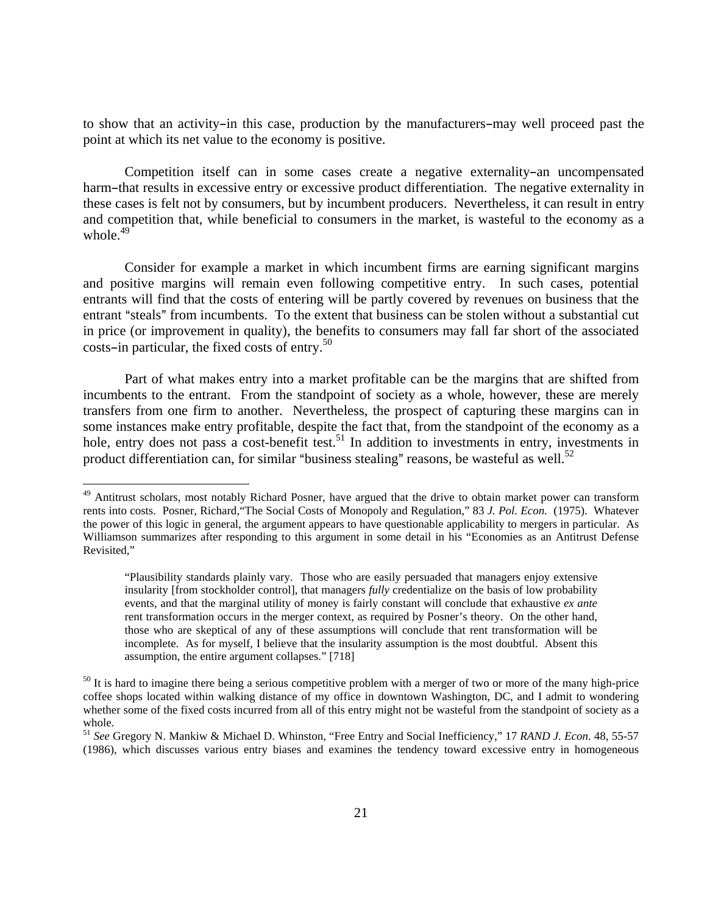to show that an activity-in this case, production by the manufacturers-may well proceed past the point at which its net value to the economy is positive.

Competition itself can in some cases create a negative externality-an uncompensated harm-that results in excessive entry or excessive product differentiation. The negative externality in these cases is felt not by consumers, but by incumbent producers. Nevertheless, it can result in entry and competition that, while beneficial to consumers in the market, is wasteful to the economy as a whole. $49$ 

 Consider for example a market in which incumbent firms are earning significant margins and positive margins will remain even following competitive entry. In such cases, potential entrants will find that the costs of entering will be partly covered by revenues on business that the entrant "steals" from incumbents. To the extent that business can be stolen without a substantial cut in price (or improvement in quality), the benefits to consumers may fall far short of the associated costs-in particular, the fixed costs of entry. $50$ 

 Part of what makes entry into a market profitable can be the margins that are shifted from incumbents to the entrant. From the standpoint of society as a whole, however, these are merely transfers from one firm to another. Nevertheless, the prospect of capturing these margins can in some instances make entry profitable, despite the fact that, from the standpoint of the economy as a hole, entry does not pass a cost-benefit test.<sup>51</sup> In addition to investments in entry, investments in product differentiation can, for similar "business stealing" reasons, be wasteful as well.<sup>52</sup>

1

<sup>&</sup>lt;sup>49</sup> Antitrust scholars, most notably Richard Posner, have argued that the drive to obtain market power can transform rents into costs. Posner, Richard,"The Social Costs of Monopoly and Regulation," 83 *J. Pol. Econ.* (1975). Whatever the power of this logic in general, the argument appears to have questionable applicability to mergers in particular. As Williamson summarizes after responding to this argument in some detail in his "Economies as an Antitrust Defense Revisited,"

<sup>&</sup>quot;Plausibility standards plainly vary. Those who are easily persuaded that managers enjoy extensive insularity [from stockholder control], that managers *fully* credentialize on the basis of low probability events, and that the marginal utility of money is fairly constant will conclude that exhaustive *ex ante* rent transformation occurs in the merger context, as required by Posner's theory. On the other hand, those who are skeptical of any of these assumptions will conclude that rent transformation will be incomplete. As for myself, I believe that the insularity assumption is the most doubtful. Absent this assumption, the entire argument collapses." [718]

 $50$  It is hard to imagine there being a serious competitive problem with a merger of two or more of the many high-price coffee shops located within walking distance of my office in downtown Washington, DC, and I admit to wondering whether some of the fixed costs incurred from all of this entry might not be wasteful from the standpoint of society as a whole.

<sup>51</sup> *See* Gregory N. Mankiw & Michael D. Whinston, "Free Entry and Social Inefficiency," 17 *RAND J. Econ*. 48, 55-57 (1986), which discusses various entry biases and examines the tendency toward excessive entry in homogeneous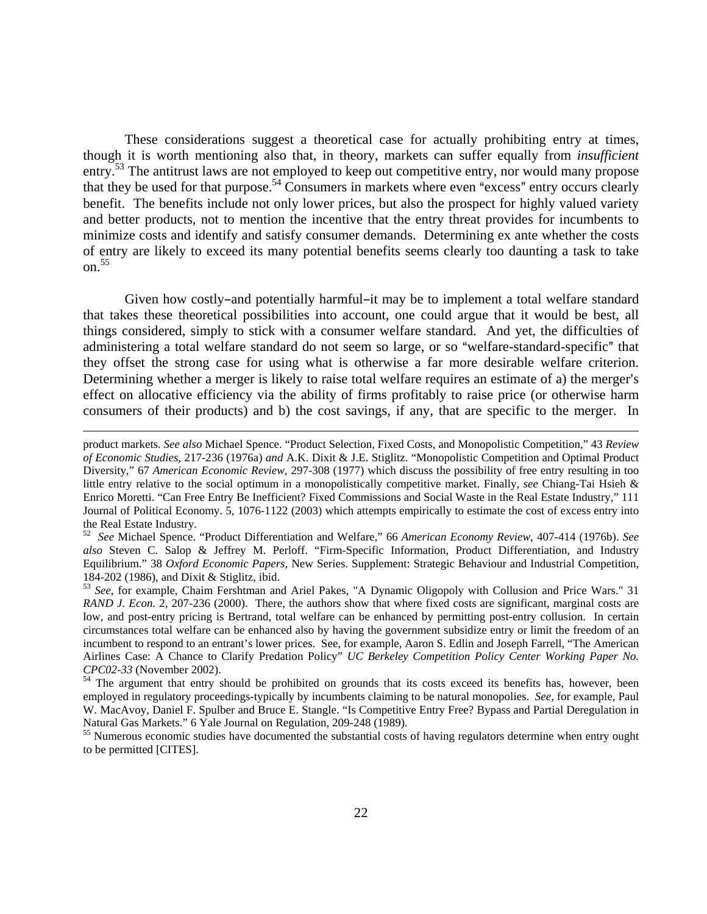These considerations suggest a theoretical case for actually prohibiting entry at times, though it is worth mentioning also that, in theory, markets can suffer equally from *insufficient* entry.<sup>53</sup> The antitrust laws are not employed to keep out competitive entry, nor would many propose that they be used for that purpose.<sup>54</sup> Consumers in markets where even "excess" entry occurs clearly benefit. The benefits include not only lower prices, but also the prospect for highly valued variety and better products, not to mention the incentive that the entry threat provides for incumbents to minimize costs and identify and satisfy consumer demands. Determining ex ante whether the costs of entry are likely to exceed its many potential benefits seems clearly too daunting a task to take on. $55$ 

Given how costly-and potentially harmful-it may be to implement a total welfare standard that takes these theoretical possibilities into account, one could argue that it would be best, all things considered, simply to stick with a consumer welfare standard. And yet, the difficulties of administering a total welfare standard do not seem so large, or so "welfare-standard-specific" that they offset the strong case for using what is otherwise a far more desirable welfare criterion. Determining whether a merger is likely to raise total welfare requires an estimate of a) the merger's effect on allocative efficiency via the ability of firms profitably to raise price (or otherwise harm consumers of their products) and b) the cost savings, if any, that are specific to the merger. In

52 *See* Michael Spence. "Product Differentiation and Welfare," 66 *American Economy Review*, 407-414 (1976b). *See also* Steven C. Salop & Jeffrey M. Perloff. "Firm-Specific Information, Product Differentiation, and Industry Equilibrium." 38 *Oxford Economic Papers*, New Series. Supplement: Strategic Behaviour and Industrial Competition, 184-202 (1986), and Dixit & Stiglitz, ibid.

product markets. *See also* Michael Spence. "Product Selection, Fixed Costs, and Monopolistic Competition," 43 *Review of Economic Studies*, 217-236 (1976a) *and* A.K. Dixit & J.E. Stiglitz. "Monopolistic Competition and Optimal Product Diversity," 67 *American Economic Review*, 297-308 (1977) which discuss the possibility of free entry resulting in too little entry relative to the social optimum in a monopolistically competitive market. Finally, *see* Chiang-Tai Hsieh & Enrico Moretti. "Can Free Entry Be Inefficient? Fixed Commissions and Social Waste in the Real Estate Industry," 111 Journal of Political Economy. 5, 1076-1122 (2003) which attempts empirically to estimate the cost of excess entry into the Real Estate Industry.

<sup>53</sup> *See*, for example, Chaim Fershtman and Ariel Pakes, "A Dynamic Oligopoly with Collusion and Price Wars." 31 *RAND J. Econ*. 2, 207-236 (2000). There, the authors show that where fixed costs are significant, marginal costs are low, and post-entry pricing is Bertrand, total welfare can be enhanced by permitting post-entry collusion. In certain circumstances total welfare can be enhanced also by having the government subsidize entry or limit the freedom of an incumbent to respond to an entrant's lower prices. See, for example, Aaron S. Edlin and Joseph Farrell, "The American Airlines Case: A Chance to Clarify Predation Policy" *UC Berkeley Competition Policy Center Working Paper No. CPC02-33* (November 2002). 54 The argument that entry should be prohibited on grounds that its costs exceed its benefits has, however, been

employed in regulatory proceedings-typically by incumbents claiming to be natural monopolies. *See*, for example, Paul W. MacAvoy, Daniel F. Spulber and Bruce E. Stangle. "Is Competitive Entry Free? Bypass and Partial Deregulation in Natural Gas Markets." 6 Yale Journal on Regulation, 209-248 (1989).

<sup>&</sup>lt;sup>55</sup> Numerous economic studies have documented the substantial costs of having regulators determine when entry ought to be permitted [CITES].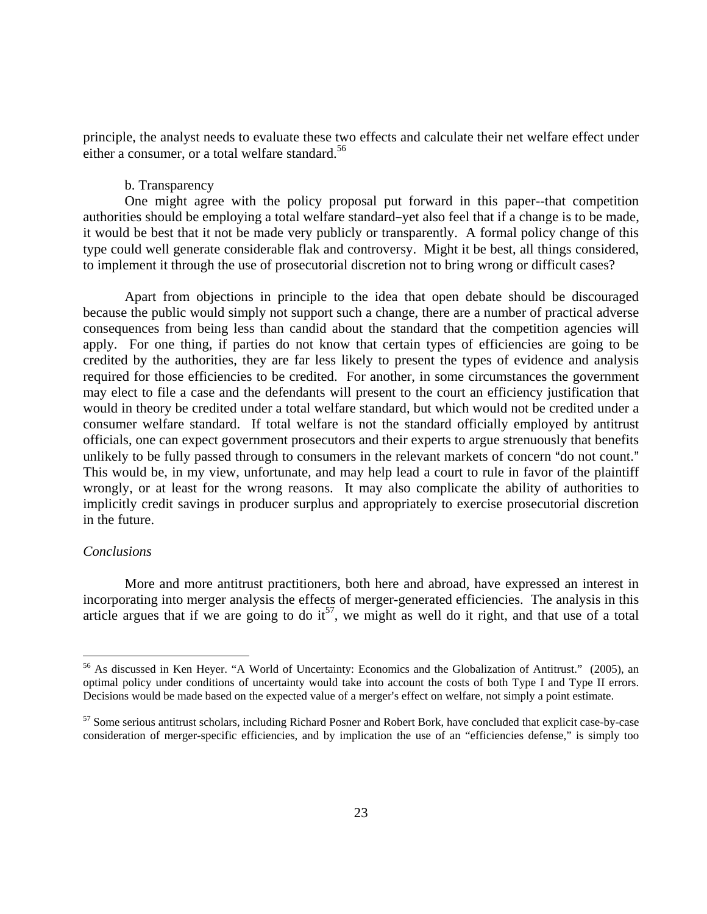principle, the analyst needs to evaluate these two effects and calculate their net welfare effect under either a consumer, or a total welfare standard.<sup>56</sup>

### b. Transparency

One might agree with the policy proposal put forward in this paper--that competition authorities should be employing a total welfare standard-yet also feel that if a change is to be made, it would be best that it not be made very publicly or transparently. A formal policy change of this type could well generate considerable flak and controversy. Might it be best, all things considered, to implement it through the use of prosecutorial discretion not to bring wrong or difficult cases?

 Apart from objections in principle to the idea that open debate should be discouraged because the public would simply not support such a change, there are a number of practical adverse consequences from being less than candid about the standard that the competition agencies will apply. For one thing, if parties do not know that certain types of efficiencies are going to be credited by the authorities, they are far less likely to present the types of evidence and analysis required for those efficiencies to be credited. For another, in some circumstances the government may elect to file a case and the defendants will present to the court an efficiency justification that would in theory be credited under a total welfare standard, but which would not be credited under a consumer welfare standard. If total welfare is not the standard officially employed by antitrust officials, one can expect government prosecutors and their experts to argue strenuously that benefits unlikely to be fully passed through to consumers in the relevant markets of concern "do not count." This would be, in my view, unfortunate, and may help lead a court to rule in favor of the plaintiff wrongly, or at least for the wrong reasons. It may also complicate the ability of authorities to implicitly credit savings in producer surplus and appropriately to exercise prosecutorial discretion in the future.

# *Conclusions*

 $\overline{a}$ 

 More and more antitrust practitioners, both here and abroad, have expressed an interest in incorporating into merger analysis the effects of merger-generated efficiencies. The analysis in this article argues that if we are going to do it<sup>57</sup>, we might as well do it right, and that use of a total

<sup>56</sup> As discussed in Ken Heyer. "A World of Uncertainty: Economics and the Globalization of Antitrust." (2005), an optimal policy under conditions of uncertainty would take into account the costs of both Type I and Type II errors. Decisions would be made based on the expected value of a merger's effect on welfare, not simply a point estimate.

<sup>&</sup>lt;sup>57</sup> Some serious antitrust scholars, including Richard Posner and Robert Bork, have concluded that explicit case-by-case consideration of merger-specific efficiencies, and by implication the use of an "efficiencies defense," is simply too